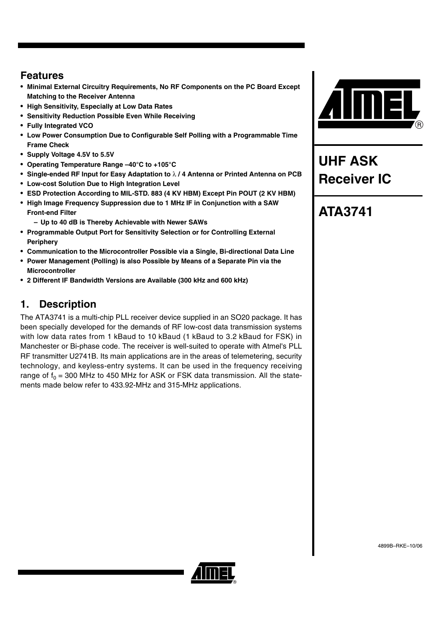### **Features**

- **Minimal External Circuitry Requirements, No RF Components on the PC Board Except Matching to the Receiver Antenna**
- **High Sensitivity, Especially at Low Data Rates**
- **Sensitivity Reduction Possible Even While Receiving**
- **Fully Integrated VCO**
- **Low Power Consumption Due to Configurable Self Polling with a Programmable Time Frame Check**
- **Supply Voltage 4.5V to 5.5V**
- **Operating Temperature Range –40°C to +105°C**
- **Single-ended RF Input for Easy Adaptation to** λ **/ 4 Antenna or Printed Antenna on PCB**
- **Low-cost Solution Due to High Integration Level**
- **ESD Protection According to MIL-STD. 883 (4 KV HBM) Except Pin POUT (2 KV HBM)**
- **High Image Frequency Suppression due to 1 MHz IF in Conjunction with a SAW Front-end Filter**
	- **Up to 40 dB is Thereby Achievable with Newer SAWs**
- **Programmable Output Port for Sensitivity Selection or for Controlling External Periphery**
- **Communication to the Microcontroller Possible via a Single, Bi-directional Data Line**
- **Power Management (Polling) is also Possible by Means of a Separate Pin via the Microcontroller**
- **2 Different IF Bandwidth Versions are Available (300 kHz and 600 kHz)**

### **1. Description**

The ATA3741 is a multi-chip PLL receiver device supplied in an SO20 package. It has been specially developed for the demands of RF low-cost data transmission systems with low data rates from 1 kBaud to 10 kBaud (1 kBaud to 3.2 kBaud for FSK) in Manchester or Bi-phase code. The receiver is well-suited to operate with Atmel's PLL RF transmitter U2741B. Its main applications are in the areas of telemetering, security technology, and keyless-entry systems. It can be used in the frequency receiving range of  $f_0 = 300$  MHz to 450 MHz for ASK or FSK data transmission. All the statements made below refer to 433.92-MHz and 315-MHz applications.



# **UHF ASK Receiver IC**

# **ATA3741**

4899B–RKE–10/06

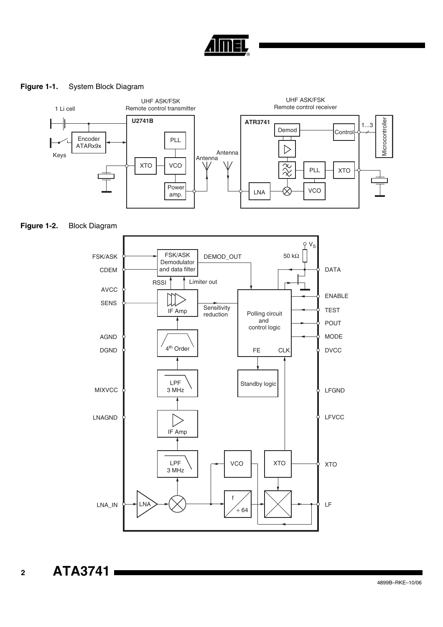

#### **Figure 1-1.** System Block Diagram



#### **Figure 1-2.** Block Diagram



**ATA3741**

**2**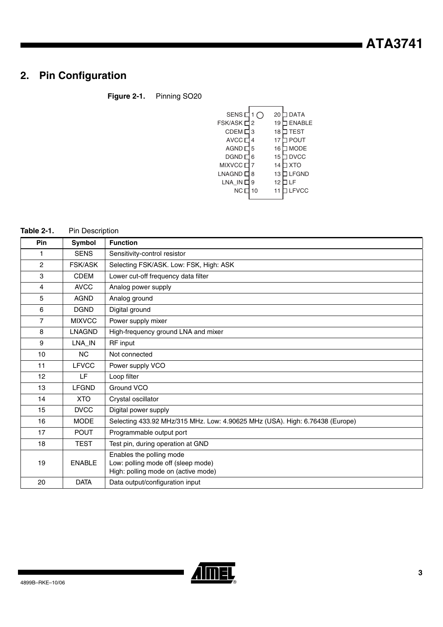# **2. Pin Configuration**

### **Figure 2-1.** Pinning SO20

#### **Table 2-1.** Pin Description

| <b>Pin</b>      | <b>Symbol</b>  | <b>Function</b>                                                                                       |
|-----------------|----------------|-------------------------------------------------------------------------------------------------------|
|                 | <b>SENS</b>    | Sensitivity-control resistor                                                                          |
| 2               | <b>FSK/ASK</b> | Selecting FSK/ASK. Low: FSK, High: ASK                                                                |
| 3               | <b>CDEM</b>    | Lower cut-off frequency data filter                                                                   |
| 4               | <b>AVCC</b>    | Analog power supply                                                                                   |
| 5               | <b>AGND</b>    | Analog ground                                                                                         |
| 6               | <b>DGND</b>    | Digital ground                                                                                        |
| $\overline{7}$  | <b>MIXVCC</b>  | Power supply mixer                                                                                    |
| 8               | <b>LNAGND</b>  | High-frequency ground LNA and mixer                                                                   |
| 9               | LNA_IN         | RF input                                                                                              |
| 10              | <b>NC</b>      | Not connected                                                                                         |
| 11              | <b>LFVCC</b>   | Power supply VCO                                                                                      |
| 12 <sup>2</sup> | LF             | Loop filter                                                                                           |
| 13              | <b>LFGND</b>   | Ground VCO                                                                                            |
| 14              | <b>XTO</b>     | Crystal oscillator                                                                                    |
| 15              | <b>DVCC</b>    | Digital power supply                                                                                  |
| 16              | <b>MODE</b>    | Selecting 433.92 MHz/315 MHz. Low: 4.90625 MHz (USA). High: 6.76438 (Europe)                          |
| 17              | <b>POUT</b>    | Programmable output port                                                                              |
| 18              | <b>TEST</b>    | Test pin, during operation at GND                                                                     |
| 19              | <b>ENABLE</b>  | Enables the polling mode<br>Low: polling mode off (sleep mode)<br>High: polling mode on (active mode) |
| 20              | <b>DATA</b>    | Data output/configuration input                                                                       |

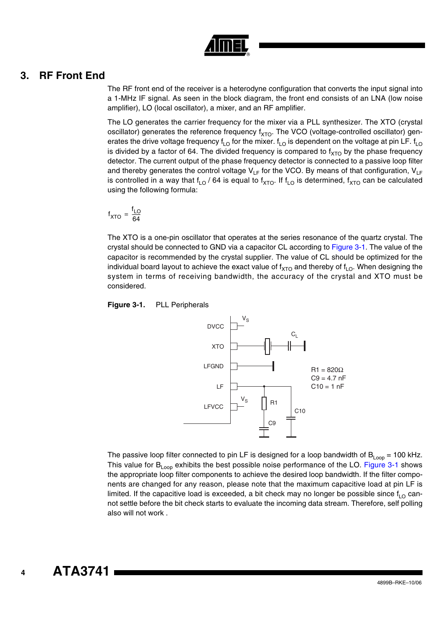

### <span id="page-3-1"></span>**3. RF Front End**

The RF front end of the receiver is a heterodyne configuration that converts the input signal into a 1-MHz IF signal. As seen in the block diagram, the front end consists of an LNA (low noise amplifier), LO (local oscillator), a mixer, and an RF amplifier.

The LO generates the carrier frequency for the mixer via a PLL synthesizer. The XTO (crystal oscillator) generates the reference frequency  $f_{XTO}$ . The VCO (voltage-controlled oscillator) generates the drive voltage frequency f<sub>LO</sub> for the mixer.  $f_{LO}$  is dependent on the voltage at pin LF. f<sub>LO</sub> is divided by a factor of 64. The divided frequency is compared to  $f_{\text{XTO}}$  by the phase frequency detector. The current output of the phase frequency detector is connected to a passive loop filter and thereby generates the control voltage  $V_{LF}$  for the VCO. By means of that configuration,  $V_{LF}$ is controlled in a way that  $f_{LO}$  / 64 is equal to  $f_{XTO}$ . If  $f_{LO}$  is determined,  $f_{XTO}$  can be calculated using the following formula:

$$
f_{\text{XTO}} = \frac{f_{\text{LO}}}{64}
$$

The XTO is a one-pin oscillator that operates at the series resonance of the quartz crystal. The crystal should be connected to GND via a capacitor CL according to [Figure 3-1.](#page-3-0) The value of the capacitor is recommended by the crystal supplier. The value of CL should be optimized for the individual board layout to achieve the exact value of  $f_{XTO}$  and thereby of  $f_{LO}$ . When designing the system in terms of receiving bandwidth, the accuracy of the crystal and XTO must be considered.

<span id="page-3-0"></span>



The passive loop filter connected to pin LF is designed for a loop bandwidth of  $B_{\text{Loop}} = 100$  kHz. This value for  $B_{\text{Loop}}$  exhibits the best possible noise performance of the LO. [Figure 3-1](#page-3-0) shows the appropriate loop filter components to achieve the desired loop bandwidth. If the filter components are changed for any reason, please note that the maximum capacitive load at pin LF is limited. If the capacitive load is exceeded, a bit check may no longer be possible since  $f_{\text{LO}}$  cannot settle before the bit check starts to evaluate the incoming data stream. Therefore, self polling also will not work .

**4**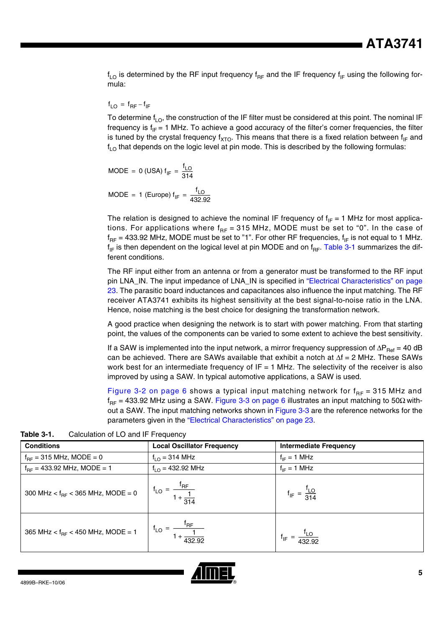$f_{LO}$  is determined by the RF input frequency  $f_{RF}$  and the IF frequency  $f_{IF}$  using the following formula:

#### $f_{LO}$  =  $f_{RF} - f_{IF}$

To determine  $f_{LO}$ , the construction of the IF filter must be considered at this point. The nominal IF frequency is  $f_{IF} = 1$  MHz. To achieve a good accuracy of the filter's corner frequencies, the filter is tuned by the crystal frequency  $f_{XTO}$ . This means that there is a fixed relation between  $f_{IF}$  and  $f_{LO}$  that depends on the logic level at pin mode. This is described by the following formulas:

$$
MODE = 0 (USA) f_{IF} = \frac{f_{LO}}{314}
$$

$$
MODE = 1 (Europe) f_{IF} = \frac{f_{LO}}{432.92}
$$

The relation is designed to achieve the nominal IF frequency of  $f_{IF} = 1$  MHz for most applications. For applications where  $f_{RF}$  = 315 MHz, MODE must be set to "0". In the case of  $f_{RF}$  = 433.92 MHz, MODE must be set to "1". For other RF frequencies,  $f_{IF}$  is not equal to 1 MHz.  $f_{IF}$  is then dependent on the logical level at pin MODE and on  $f_{RF}$ . [Table 3-1](#page-4-0) summarizes the different conditions.

The RF input either from an antenna or from a generator must be transformed to the RF input pin LNA\_IN. The input impedance of LNA\_IN is specified in ["Electrical Characteristics" on page](#page-22-0) [23.](#page-22-0) The parasitic board inductances and capacitances also influence the input matching. The RF receiver ATA3741 exhibits its highest sensitivity at the best signal-to-noise ratio in the LNA. Hence, noise matching is the best choice for designing the transformation network.

A good practice when designing the network is to start with power matching. From that starting point, the values of the components can be varied to some extent to achieve the best sensitivity.

If a SAW is implemented into the input network, a mirror frequency suppression of ∆P<sub>Ref</sub> = 40 dB can be achieved. There are SAWs available that exhibit a notch at  $∆f = 2$  MHz. These SAWs work best for an intermediate frequency of  $IF = 1$  MHz. The selectivity of the receiver is also improved by using a SAW. In typical automotive applications, a SAW is used.

[Figure 3-2 on page 6](#page-5-0) shows a typical input matching network for  $f_{RF}$  = 315 MHz and  $f_{BF}$  = 433.92 MHz using a SAW. [Figure 3-3 on page 6](#page-5-1) illustrates an input matching to 50 $\Omega$  without a SAW. The input matching networks shown in [Figure 3-3](#page-5-1) are the reference networks for the parameters given in the ["Electrical Characteristics" on page 23.](#page-22-0)

| <b>Conditions</b>                      | <b>Local Oscillator Frequency</b>                             | <b>Intermediate Frequency</b> |  |  |
|----------------------------------------|---------------------------------------------------------------|-------------------------------|--|--|
| $f_{BF}$ = 315 MHz, MODE = 0           | $f_{LO}$ = 314 MHz                                            | $f_{IF} = 1 MHz$              |  |  |
| $f_{BF}$ = 433.92 MHz, MODE = 1        | $f_{1O}$ = 432.92 MHz                                         | $f_{IF} = 1 \text{ MHz}$      |  |  |
| 300 MHz < $f_{BF}$ < 365 MHz, MODE = 0 | $\frac{I_{RF}}{I}$<br>$f_{LO}$<br>$\frac{1}{1+\frac{1}{314}}$ | $f_{IF} = \frac{120}{314}$    |  |  |
| 365 MHz < $f_{RF}$ < 450 MHz, MODE = 1 | 'RF<br>$f_{LO}$<br>432.92                                     | 432.92                        |  |  |

<span id="page-4-0"></span>**Table 3-1.** Calculation of LO and IF Frequency

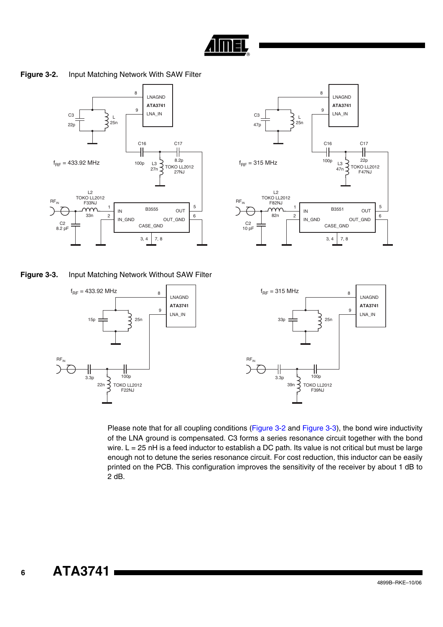

**Figure 3-2.** Input Matching Network With SAW Filter

<span id="page-5-0"></span>

<span id="page-5-1"></span>**Figure 3-3.** Input Matching Network Without SAW Filter

 $f_{BF} = 433.92$  MHz

╢

3.3p 5 100p  $22n \rceil$  TOKO LL2012 F22NJ

 $RF_{IN}$ 

15p 25n

**ATA3741**

LNA\_IN

LNAGND

8

9





Please note that for all coupling conditions [\(Figure 3-2](#page-5-0) and [Figure 3-3\)](#page-5-1), the bond wire inductivity of the LNA ground is compensated. C3 forms a series resonance circuit together with the bond wire. L = 25 nH is a feed inductor to establish a DC path. Its value is not critical but must be large enough not to detune the series resonance circuit. For cost reduction, this inductor can be easily printed on the PCB. This configuration improves the sensitivity of the receiver by about 1 dB to 2 dB.

**6**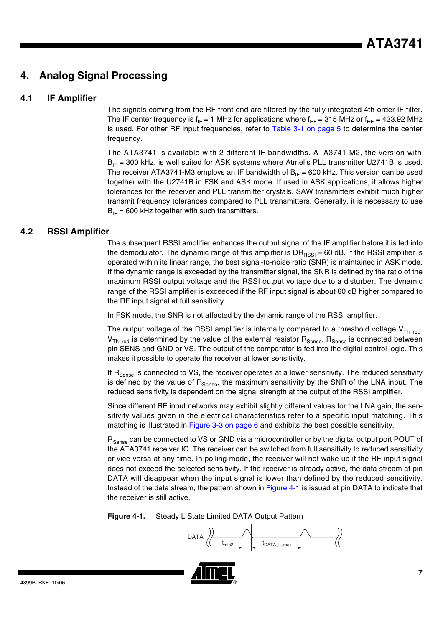### **4. Analog Signal Processing**

#### **4.1 IF Amplifier**

The signals coming from the RF front end are filtered by the fully integrated 4th-order IF filter. The IF center frequency is  $f_{IF} = 1$  MHz for applications where  $f_{RF} = 315$  MHz or  $f_{RF} = 433.92$  MHz is used. For other RF input frequencies, refer to [Table 3-1 on page 5](#page-4-0) to determine the center frequency.

The ATA3741 is available with 2 different IF bandwidths. ATA3741-M2, the version with  $B_{IF}$  = 300 kHz, is well suited for ASK systems where Atmel's PLL transmitter U2741B is used. The receiver ATA3741-M3 employs an IF bandwidth of  $B_{IF} = 600$  kHz. This version can be used together with the U2741B in FSK and ASK mode. If used in ASK applications, it allows higher tolerances for the receiver and PLL transmitter crystals. SAW transmitters exhibit much higher transmit frequency tolerances compared to PLL transmitters. Generally, it is necessary to use  $B_{IF}$  = 600 kHz together with such transmitters.

#### **4.2 RSSI Amplifier**

The subsequent RSSI amplifier enhances the output signal of the IF amplifier before it is fed into the demodulator. The dynamic range of this amplifier is  $DR_{RSS} = 60$  dB. If the RSSI amplifier is operated within its linear range, the best signal-to-noise ratio (SNR) is maintained in ASK mode. If the dynamic range is exceeded by the transmitter signal, the SNR is defined by the ratio of the maximum RSSI output voltage and the RSSI output voltage due to a disturber. The dynamic range of the RSSI amplifier is exceeded if the RF input signal is about 60 dB higher compared to the RF input signal at full sensitivity.

In FSK mode, the SNR is not affected by the dynamic range of the RSSI amplifier.

The output voltage of the RSSI amplifier is internally compared to a threshold voltage  $V_{Th_{red}}$ .  $V_{\text{Th. red}}$  is determined by the value of the external resistor  $R_{\text{Sense}}$ .  $R_{\text{Sense}}$  is connected between pin SENS and GND or VS. The output of the comparator is fed into the digital control logic. This makes it possible to operate the receiver at lower sensitivity.

If R<sub>Sense</sub> is connected to VS, the receiver operates at a lower sensitivity. The reduced sensitivity is defined by the value of  $R_{\text{Sense}}$ , the maximum sensitivity by the SNR of the LNA input. The reduced sensitivity is dependent on the signal strength at the output of the RSSI amplifier.

Since different RF input networks may exhibit slightly different values for the LNA gain, the sensitivity values given in the electrical characteristics refer to a specific input matching. This matching is illustrated in [Figure 3-3 on page 6](#page-5-1) and exhibits the best possible sensitivity.

R<sub>Sense</sub> can be connected to VS or GND via a microcontroller or by the digital output port POUT of the ATA3741 receiver IC. The receiver can be switched from full sensitivity to reduced sensitivity or vice versa at any time. In polling mode, the receiver will not wake up if the RF input signal does not exceed the selected sensitivity. If the receiver is already active, the data stream at pin DATA will disappear when the input signal is lower than defined by the reduced sensitivity. Instead of the data stream, the pattern shown in [Figure 4-1](#page-6-0) is issued at pin DATA to indicate that the receiver is still active.

<span id="page-6-0"></span>

$$
\text{DATA}\ \left\langle \!\!\!\left\langle \begin{array}{c} \begin{array}{c} \begin{array}{c} \end{array} \\ \begin{array}{c} \end{array} \right| \end{array} \right\rangle & \begin{array}{c} \begin{array}{c} \end{array} \\ \begin{array}{c} \end{array} \\ \begin{array}{c} \end{array} \end{array} \right\rangle & \begin{array}{c} \begin{array}{c} \end{array} \\ \begin{array}{c} \end{array} \end{array} \end{array} \end{array} \right\rangle
$$

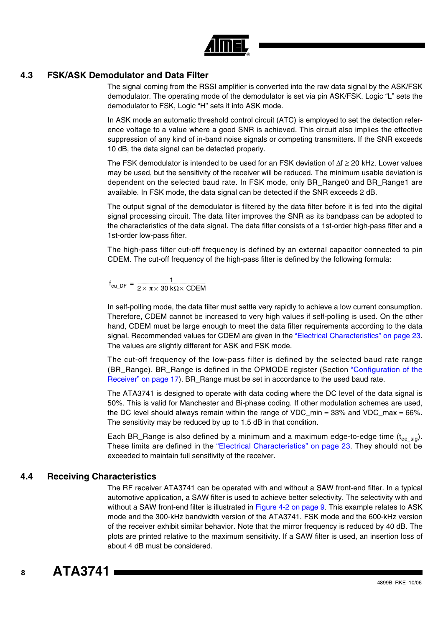

#### **4.3 FSK/ASK Demodulator and Data Filter**

The signal coming from the RSSI amplifier is converted into the raw data signal by the ASK/FSK demodulator. The operating mode of the demodulator is set via pin ASK/FSK. Logic "L" sets the demodulator to FSK, Logic "H" sets it into ASK mode.

In ASK mode an automatic threshold control circuit (ATC) is employed to set the detection reference voltage to a value where a good SNR is achieved. This circuit also implies the effective suppression of any kind of in-band noise signals or competing transmitters. If the SNR exceeds 10 dB, the data signal can be detected properly.

The FSK demodulator is intended to be used for an FSK deviation of ∆f ≥ 20 kHz. Lower values may be used, but the sensitivity of the receiver will be reduced. The minimum usable deviation is dependent on the selected baud rate. In FSK mode, only BR\_Range0 and BR\_Range1 are available. In FSK mode, the data signal can be detected if the SNR exceeds 2 dB.

The output signal of the demodulator is filtered by the data filter before it is fed into the digital signal processing circuit. The data filter improves the SNR as its bandpass can be adopted to the characteristics of the data signal. The data filter consists of a 1st-order high-pass filter and a 1st-order low-pass filter.

The high-pass filter cut-off frequency is defined by an external capacitor connected to pin CDEM. The cut-off frequency of the high-pass filter is defined by the following formula:

$$
f_{cu\_DF} = \frac{1}{2 \times \pi \times 30 \text{ k}\Omega \times \text{CDEM}}
$$

In self-polling mode, the data filter must settle very rapidly to achieve a low current consumption. Therefore, CDEM cannot be increased to very high values if self-polling is used. On the other hand, CDEM must be large enough to meet the data filter requirements according to the data signal. Recommended values for CDEM are given in the ["Electrical Characteristics" on page 23.](#page-22-0) The values are slightly different for ASK and FSK mode.

The cut-off frequency of the low-pass filter is defined by the selected baud rate range (BR\_Range). BR\_Range is defined in the OPMODE register (Section ["Configuration of the](#page-16-0) [Receiver" on page 17](#page-16-0)). BR\_Range must be set in accordance to the used baud rate.

The ATA3741 is designed to operate with data coding where the DC level of the data signal is 50%. This is valid for Manchester and Bi-phase coding. If other modulation schemes are used, the DC level should always remain within the range of VDC  $\text{min} = 33\%$  and VDC  $\text{max} = 66\%$ . The sensitivity may be reduced by up to 1.5 dB in that condition.

Each BR\_Range is also defined by a minimum and a maximum edge-to-edge time  $(t_{ee,sio})$ . These limits are defined in the ["Electrical Characteristics" on page 23](#page-22-0). They should not be exceeded to maintain full sensitivity of the receiver.

#### **4.4 Receiving Characteristics**

The RF receiver ATA3741 can be operated with and without a SAW front-end filter. In a typical automotive application, a SAW filter is used to achieve better selectivity. The selectivity with and without a SAW front-end filter is illustrated in [Figure 4-2 on page 9.](#page-8-0) This example relates to ASK mode and the 300-kHz bandwidth version of the ATA3741. FSK mode and the 600-kHz version of the receiver exhibit similar behavior. Note that the mirror frequency is reduced by 40 dB. The plots are printed relative to the maximum sensitivity. If a SAW filter is used, an insertion loss of about 4 dB must be considered.

**8**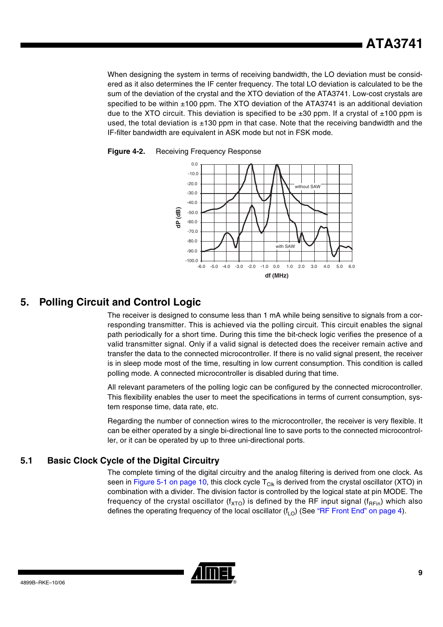When designing the system in terms of receiving bandwidth, the LO deviation must be considered as it also determines the IF center frequency. The total LO deviation is calculated to be the sum of the deviation of the crystal and the XTO deviation of the ATA3741. Low-cost crystals are specified to be within  $\pm 100$  ppm. The XTO deviation of the ATA3741 is an additional deviation due to the XTO circuit. This deviation is specified to be  $\pm 30$  ppm. If a crystal of  $\pm 100$  ppm is used, the total deviation is  $\pm 130$  ppm in that case. Note that the receiving bandwidth and the IF-filter bandwidth are equivalent in ASK mode but not in FSK mode.



<span id="page-8-0"></span>

### **5. Polling Circuit and Control Logic**

The receiver is designed to consume less than 1 mA while being sensitive to signals from a corresponding transmitter. This is achieved via the polling circuit. This circuit enables the signal path periodically for a short time. During this time the bit-check logic verifies the presence of a valid transmitter signal. Only if a valid signal is detected does the receiver remain active and transfer the data to the connected microcontroller. If there is no valid signal present, the receiver is in sleep mode most of the time, resulting in low current consumption. This condition is called polling mode. A connected microcontroller is disabled during that time.

All relevant parameters of the polling logic can be configured by the connected microcontroller. This flexibility enables the user to meet the specifications in terms of current consumption, system response time, data rate, etc.

Regarding the number of connection wires to the microcontroller, the receiver is very flexible. It can be either operated by a single bi-directional line to save ports to the connected microcontroller, or it can be operated by up to three uni-directional ports.

#### **5.1 Basic Clock Cycle of the Digital Circuitry**

The complete timing of the digital circuitry and the analog filtering is derived from one clock. As seen in [Figure 5-1 on page 10,](#page-9-0) this clock cycle  $T_{Clk}$  is derived from the crystal oscillator (XTO) in combination with a divider. The division factor is controlled by the logical state at pin MODE. The frequency of the crystal oscillator ( $f_{XTO}$ ) is defined by the RF input signal ( $f_{RFin}$ ) which also defines the operating frequency of the local oscillator  $(f<sub>LO</sub>)$  (See ["RF Front End" on page 4\)](#page-3-1).

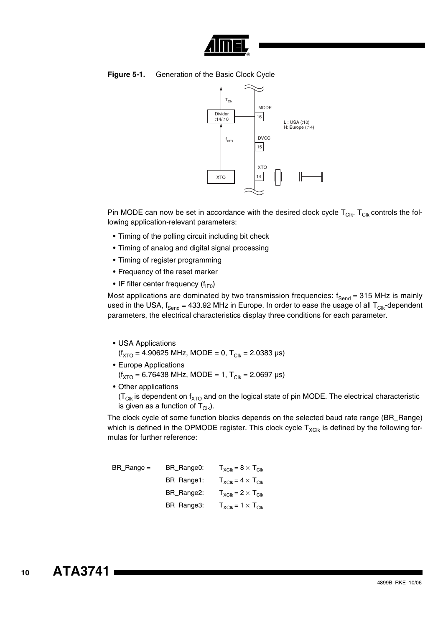

#### <span id="page-9-0"></span>**Figure 5-1.** Generation of the Basic Clock Cycle



Pin MODE can now be set in accordance with the desired clock cycle  $T_{\text{Clk}}$ .  $T_{\text{Clk}}$  controls the following application-relevant parameters:

- Timing of the polling circuit including bit check
- Timing of analog and digital signal processing
- Timing of register programming
- Frequency of the reset marker
- IF filter center frequency  $(f_{IF0})$

Most applications are dominated by two transmission frequencies:  $f_{Send} = 315$  MHz is mainly used in the USA,  $f_{Send} = 433.92$  MHz in Europe. In order to ease the usage of all  $T_{Clk}$ -dependent parameters, the electrical characteristics display three conditions for each parameter.

• USA Applications

 $(f_{\text{XTO}} = 4.90625 \text{ MHz}, \text{MODE} = 0, T_{\text{Clk}} = 2.0383 \text{ µs})$ 

- Europe Applications  $(f_{\text{XTO}} = 6.76438 \text{ MHz}, \text{MODE} = 1, T_{\text{C}lk} = 2.0697 \text{ \mu s})$
- Other applications

 $(T<sub>Clk</sub>$  is dependent on f<sub>XTO</sub> and on the logical state of pin MODE. The electrical characteristic is given as a function of  $T_{Clk}$ ).

The clock cycle of some function blocks depends on the selected baud rate range (BR\_Range) which is defined in the OPMODE register. This clock cycle  $T_{XCK}$  is defined by the following formulas for further reference:

| $BR\_Range =$ | BR_Range0: | $T_{XClk} = 8 \times T_{Clk}$ |
|---------------|------------|-------------------------------|
|               | BR_Range1: | $T_{XClk} = 4 \times T_{Clk}$ |
|               | BR_Range2: | $T_{XCIk} = 2 \times T_{CIk}$ |
|               | BR_Range3: | $T_{XClk} = 1 \times T_{Clk}$ |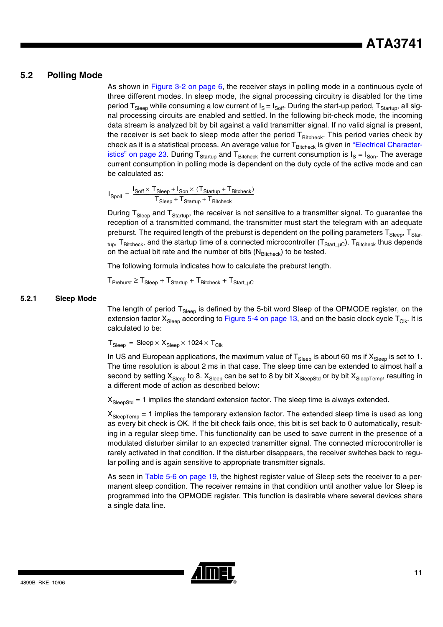#### **5.2 Polling Mode**

As shown in [Figure 3-2 on page 6,](#page-5-0) the receiver stays in polling mode in a continuous cycle of three different modes. In sleep mode, the signal processing circuitry is disabled for the time period T<sub>Sleep</sub> while consuming a low current of  $I_S = I_{Soff}$ . During the start-up period, T<sub>Startup</sub>, all signal processing circuits are enabled and settled. In the following bit-check mode, the incoming data stream is analyzed bit by bit against a valid transmitter signal. If no valid signal is present, the receiver is set back to sleep mode after the period  $T_{\text{Bitcheck}}$ . This period varies check by check as it is a statistical process. An average value for T<sub>Bitcheck</sub> is given in ["Electrical Character](#page-22-0)[istics" on page 23.](#page-22-0) During T<sub>Startup</sub> and T<sub>Bitcheck</sub> the current consumption is  $I_S = I_{Son}$ . The average current consumption in polling mode is dependent on the duty cycle of the active mode and can be calculated as:

$$
I_{Spoll} = \frac{I_{Soft} \times T_{Sleep} + I_{Son} \times (T_{Startup} + T_{Bitcheck})}{T_{Sleep} + T_{Startup} + T_{Bitcheck}}
$$

During T<sub>Sleep</sub> and T<sub>Startup</sub>, the receiver is not sensitive to a transmitter signal. To guarantee the reception of a transmitted command, the transmitter must start the telegram with an adequate preburst. The required length of the preburst is dependent on the polling parameters  $T_{Sleep}$ ,  $T_{Star-}$  $_{\rm tup}$ ,  ${\rm T_{Bitcheck}}$ , and the startup time of a connected microcontroller ( ${\rm T_{Start\_uc}}$ ).  ${\rm T_{Bitcheck}}$  thus depends on the actual bit rate and the number of bits  $(N_{\text{Bitcheck}})$  to be tested.

The following formula indicates how to calculate the preburst length.

 $T_{\text{Preburst}} \geq T_{\text{Sleep}} + T_{\text{Start up}} + T_{\text{Bitcheck}} + T_{\text{Start up}}$ 

#### **5.2.1 Sleep Mode**

The length of period  $T_{Sleep}$  is defined by the 5-bit word Sleep of the OPMODE register, on the extension factor  $X_{Sleep}$  according to [Figure 5-4 on page 13](#page-12-0), and on the basic clock cycle  $T_{Clk}$ . It is calculated to be:

 $T_{Sleep}$  = Sleep  $\times$   $X_{Sleep}$   $\times$  1024  $\times$   $T_{Clk}$ 

In US and European applications, the maximum value of  $T_{Sleep}$  is about 60 ms if  $X_{Sleep}$  is set to 1. The time resolution is about 2 ms in that case. The sleep time can be extended to almost half a second by setting  $X_{Sleep}$  to 8.  $X_{Sleep}$  can be set to 8 by bit  $X_{SleepStd}$  or by bit  $X_{SleepTemp}$ , resulting in a different mode of action as described below:

 $X_{SleensStd} = 1$  implies the standard extension factor. The sleep time is always extended.

 $X_{\text{SleepTemp}} = 1$  implies the temporary extension factor. The extended sleep time is used as long as every bit check is OK. If the bit check fails once, this bit is set back to 0 automatically, resulting in a regular sleep time. This functionality can be used to save current in the presence of a modulated disturber similar to an expected transmitter signal. The connected microcontroller is rarely activated in that condition. If the disturber disappears, the receiver switches back to regular polling and is again sensitive to appropriate transmitter signals.

As seen in [Table 5-6 on page 19](#page-18-0), the highest register value of Sleep sets the receiver to a permanent sleep condition. The receiver remains in that condition until another value for Sleep is programmed into the OPMODE register. This function is desirable where several devices share a single data line.

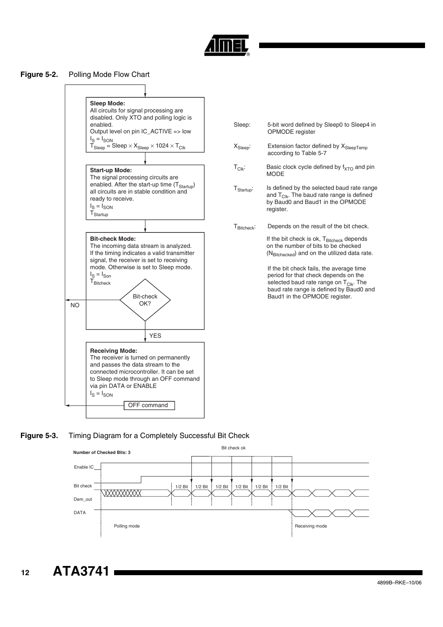

#### **Figure 5-2.** Polling Mode Flow Chart



| Sleep:                 | 5-bit word defined by Sleep0 to Sleep4 in<br>OPMODE register                                                                                                                                                |
|------------------------|-------------------------------------------------------------------------------------------------------------------------------------------------------------------------------------------------------------|
| $X_{Sleep}$ :          | Extension factor defined by X <sub>SleepTemp</sub><br>according to Table 5-7                                                                                                                                |
| $T_{Clk}$ :            | Basic clock cycle defined by $f_{\text{XTO}}$ and pin<br><b>MODE</b>                                                                                                                                        |
| $T_{\text{Startup}}$ : | Is defined by the selected baud rate range<br>and $T_{Clk}$ . The baud rate range is defined<br>by Baud0 and Baud1 in the OPMODE<br>register.                                                               |
| $T_{\text{Ritchack}}$  | Depends on the result of the bit check.                                                                                                                                                                     |
|                        | If the bit check is ok, $T_{\text{Bitcheck}}$ depends<br>on the number of bits to be checked<br>(N <sub>Bitchecked</sub> ) and on the utilized data rate.                                                   |
|                        | If the bit check fails, the average time<br>period for that check depends on the<br>selected baud rate range on $T_{Clk}$ . The<br>baud rate range is defined by Baud0 and<br>Baud1 in the OPMODE register. |
|                        |                                                                                                                                                                                                             |
|                        |                                                                                                                                                                                                             |
|                        |                                                                                                                                                                                                             |
|                        |                                                                                                                                                                                                             |
|                        |                                                                                                                                                                                                             |

#### <span id="page-11-0"></span>**Figure 5-3.** Timing Diagram for a Completely Successful Bit Check



**12 ATA3741**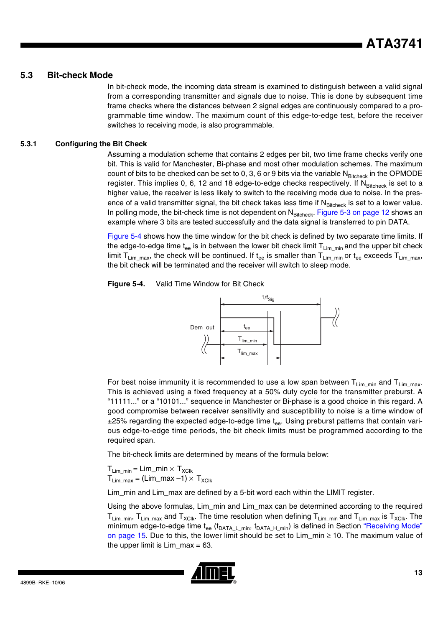#### **5.3 Bit-check Mode**

In bit-check mode, the incoming data stream is examined to distinguish between a valid signal from a corresponding transmitter and signals due to noise. This is done by subsequent time frame checks where the distances between 2 signal edges are continuously compared to a programmable time window. The maximum count of this edge-to-edge test, before the receiver switches to receiving mode, is also programmable.

#### **5.3.1 Configuring the Bit Check**

Assuming a modulation scheme that contains 2 edges per bit, two time frame checks verify one bit. This is valid for Manchester, Bi-phase and most other modulation schemes. The maximum count of bits to be checked can be set to 0, 3, 6 or 9 bits via the variable N<sub>Bitcheck</sub> in the OPMODE register. This implies 0, 6, 12 and 18 edge-to-edge checks respectively. If NBitcheck is set to a higher value, the receiver is less likely to switch to the receiving mode due to noise. In the presence of a valid transmitter signal, the bit check takes less time if  $N_{\text{Bitcheck}}$  is set to a lower value. In polling mode, the bit-check time is not dependent on  $N_{\text{Bitcheck}}$ . [Figure 5-3 on page 12](#page-11-0) shows an example where 3 bits are tested successfully and the data signal is transferred to pin DATA.

[Figure 5-4](#page-12-0) shows how the time window for the bit check is defined by two separate time limits. If the edge-to-edge time t<sub>ee</sub> is in between the lower bit check limit  $T_{\text{Lim min}}$  and the upper bit check limit T<sub>Limmax</sub>, the check will be continued. If t<sub>ee</sub> is smaller than T<sub>Limmin</sub> or t<sub>ee</sub> exceeds T<sub>Limmax</sub>, the bit check will be terminated and the receiver will switch to sleep mode.

<span id="page-12-0"></span>



For best noise immunity it is recommended to use a low span between  $T_{Lim\ min}$  and  $T_{Lim\ max}$ . This is achieved using a fixed frequency at a 50% duty cycle for the transmitter preburst. A "11111..." or a "10101..." sequence in Manchester or Bi-phase is a good choice in this regard. A good compromise between receiver sensitivity and susceptibility to noise is a time window of  $±25%$  regarding the expected edge-to-edge time  $t_{ee}$ . Using preburst patterns that contain various edge-to-edge time periods, the bit check limits must be programmed according to the required span.

The bit-check limits are determined by means of the formula below:

 $T_{Lim\;min} = Lim\_min \times T_{XClk}$  $T_{\text{Lim max}} = (\text{Lim\_max} -1) \times T_{\text{XClk}}$ 

Lim min and Lim max are defined by a 5-bit word each within the LIMIT register.

Using the above formulas, Lim\_min and Lim\_max can be determined according to the required  $T_{\text{Lim min}}$ ,  $T_{\text{Lim\_max}}$  and  $T_{\text{XClk}}$ . The time resolution when defining  $T_{\text{Lim\_min}}$  and  $T_{\text{Lim\_max}}$  is  $T_{\text{XClk}}$ . The minimum edge-to-edge time  $t_{ee}$  ( $t_{DATA\ L\ min}$ ,  $t_{DATA\ H\ min}$ ) is defined in Section ["Receiving Mode"](#page-14-0) [on page 15.](#page-14-0) Due to this, the lower limit should be set to Lim  $\min \ge 10$ . The maximum value of the upper limit is  $Lim\_max = 63$ .

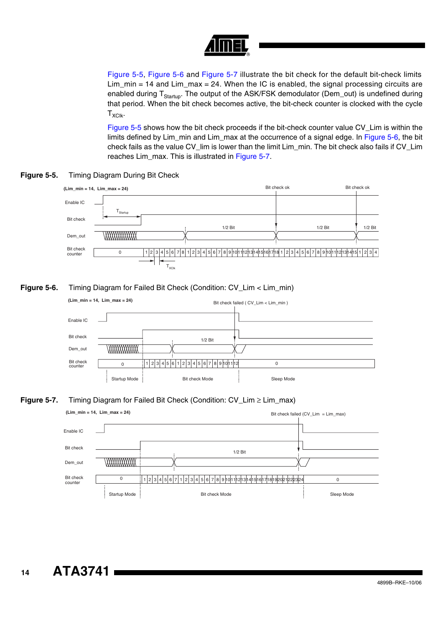

[Figure 5-5,](#page-13-0) [Figure 5-6](#page-13-1) and [Figure 5-7](#page-13-2) illustrate the bit check for the default bit-check limits  $Lim_{m}$  = 14 and  $Lim_{m}$  = 24. When the IC is enabled, the signal processing circuits are enabled during T<sub>Startup</sub>. The output of the ASK/FSK demodulator (Dem\_out) is undefined during that period. When the bit check becomes active, the bit-check counter is clocked with the cycle  $T_{XClk}$ .

[Figure 5-5](#page-13-0) shows how the bit check proceeds if the bit-check counter value CV\_Lim is within the limits defined by Lim\_min and Lim\_max at the occurrence of a signal edge. In [Figure 5-6,](#page-13-1) the bit check fails as the value CV\_lim is lower than the limit Lim\_min. The bit check also fails if CV\_Lim reaches Lim\_max. This is illustrated in [Figure 5-7](#page-13-2).

<span id="page-13-0"></span>



#### <span id="page-13-1"></span>**Figure 5-6.** Timing Diagram for Failed Bit Check (Condition: CV\_Lim < Lim\_min)



#### <span id="page-13-2"></span>**Figure 5-7.** Timing Diagram for Failed Bit Check (Condition: CV\_Lim ≥ Lim\_max)

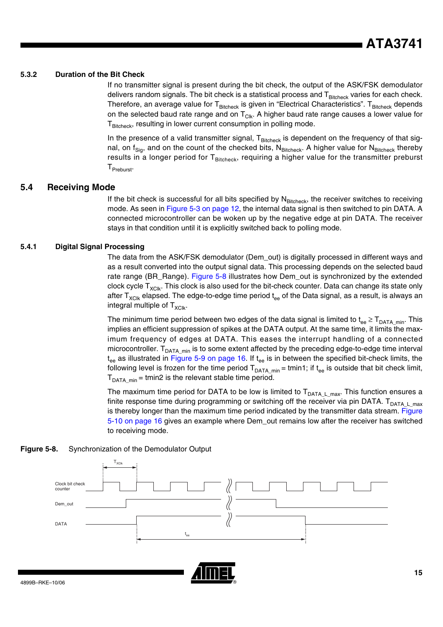#### **5.3.2 Duration of the Bit Check**

If no transmitter signal is present during the bit check, the output of the ASK/FSK demodulator delivers random signals. The bit check is a statistical process and  $T_{\text{Bitcheck}}$  varies for each check. Therefore, an average value for T<sub>Bitcheck</sub> is given in "Electrical Characteristics". T<sub>Bitcheck</sub> depends on the selected baud rate range and on  $T_{Clk}$ . A higher baud rate range causes a lower value for  $T<sub>Bitcheck</sub>$ , resulting in lower current consumption in polling mode.

In the presence of a valid transmitter signal,  $T_{\text{Bitcheck}}$  is dependent on the frequency of that signal, on f<sub>Sig</sub>, and on the count of the checked bits, N<sub>Bitcheck</sub>. A higher value for N<sub>Bitcheck</sub> thereby results in a longer period for  $T_{\text{Bitcheck}}$ , requiring a higher value for the transmitter preburst T<sub>Preburst</sub>.

#### <span id="page-14-0"></span>**5.4 Receiving Mode**

If the bit check is successful for all bits specified by  $N_{\text{Bitcheck}}$ , the receiver switches to receiving mode. As seen in [Figure 5-3 on page 12](#page-11-0), the internal data signal is then switched to pin DATA. A connected microcontroller can be woken up by the negative edge at pin DATA. The receiver stays in that condition until it is explicitly switched back to polling mode.

#### **5.4.1 Digital Signal Processing**

The data from the ASK/FSK demodulator (Dem\_out) is digitally processed in different ways and as a result converted into the output signal data. This processing depends on the selected baud rate range (BR\_Range). [Figure 5-8](#page-14-1) illustrates how Dem\_out is synchronized by the extended clock cycle  $T_{XClk}$ . This clock is also used for the bit-check counter. Data can change its state only after  $T_{\text{XC}|\text{k}}$  elapsed. The edge-to-edge time period  $t_{ee}$  of the Data signal, as a result, is always an integral multiple of  $T_{XCIk}$ .

The minimum time period between two edges of the data signal is limited to  $t_{ee} \ge T_{DATA\_min}$ . This implies an efficient suppression of spikes at the DATA output. At the same time, it limits the maximum frequency of edges at DATA. This eases the interrupt handling of a connected microcontroller.  $T_{DATA\_min}$  is to some extent affected by the preceding edge-to-edge time interval  $t_{ee}$  as illustrated in [Figure 5-9 on page 16.](#page-15-0) If  $t_{ee}$  is in between the specified bit-check limits, the following level is frozen for the time period  $T_{DATA\_min}$  = tmin1; if  $t_{ee}$  is outside that bit check limit,  $T<sub>DATA,min</sub> = \text{tmin2}$  is the relevant stable time period.

The maximum time period for DATA to be low is limited to  $T_{DATA\ L\ max}$ . This function ensures a finite response time during programming or switching off the receiver via pin DATA.  $T_{DATA\ L\ max}$ is thereby longer than the maximum time period indicated by the transmitter data stream. [Figure](#page-15-1) [5-10 on page 16](#page-15-1) gives an example where Dem\_out remains low after the receiver has switched to receiving mode.

<span id="page-14-1"></span>



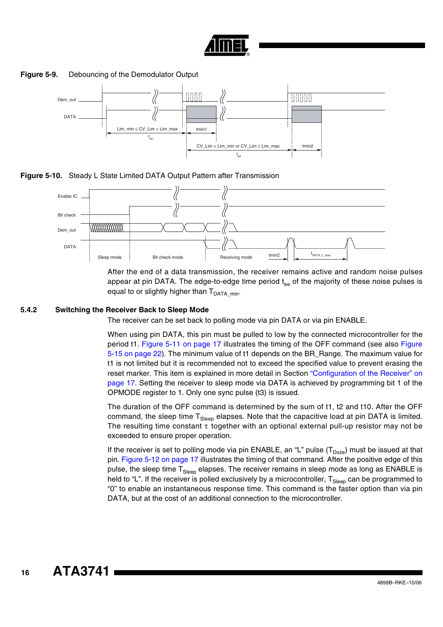

**Figure 5-9.** Debouncing of the Demodulator Output

<span id="page-15-0"></span>

<span id="page-15-1"></span>**Figure 5-10.** Steady L State Limited DATA Output Pattern after Transmission



After the end of a data transmission, the receiver remains active and random noise pulses appear at pin DATA. The edge-to-edge time period  $t_{ee}$  of the majority of these noise pulses is equal to or slightly higher than  $T<sub>DATA</sub>$ <sub>min</sub>.

#### **5.4.2 Switching the Receiver Back to Sleep Mode**

The receiver can be set back to polling mode via pin DATA or via pin ENABLE.

When using pin DATA, this pin must be pulled to low by the connected microcontroller for the period t1. [Figure 5-11 on page 17](#page-16-1) illustrates the timing of the OFF command (see also [Figure](#page-21-0) [5-15 on page 22](#page-21-0)). The minimum value of t1 depends on the BR\_Range. The maximum value for t1 is not limited but it is recommended not to exceed the specified value to prevent erasing the reset marker. This item is explained in more detail in Section ["Configuration of the Receiver" on](#page-16-0) [page 17](#page-16-0). Setting the receiver to sleep mode via DATA is achieved by programming bit 1 of the OPMODE register to 1. Only one sync pulse (t3) is issued.

The duration of the OFF command is determined by the sum of t1, t2 and t10. After the OFF command, the sleep time  $T_{Slen}$  elapses. Note that the capacitive load at pin DATA is limited. The resulting time constant τ together with an optional external pull-up resistor may not be exceeded to ensure proper operation.

If the receiver is set to polling mode via pin ENABLE, an "L" pulse  $(T<sub>Doz</sub>)$  must be issued at that pin. [Figure 5-12 on page 17](#page-16-2) illustrates the timing of that command. After the positive edge of this pulse, the sleep time  $T_{Sleep}$  elapses. The receiver remains in sleep mode as long as ENABLE is held to "L". If the receiver is polled exclusively by a microcontroller,  $T_{Sleep}$  can be programmed to "0" to enable an instantaneous response time. This command is the faster option than via pin DATA, but at the cost of an additional connection to the microcontroller.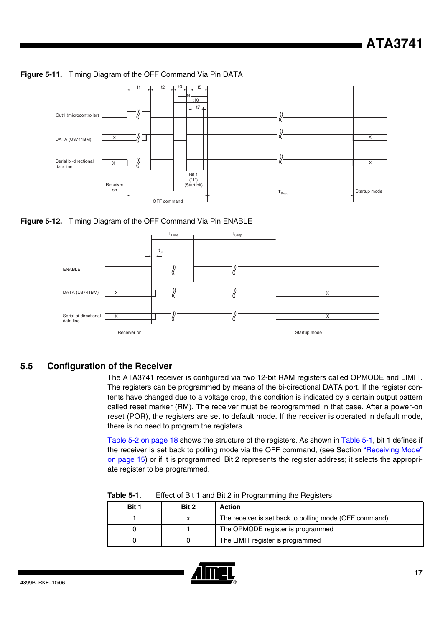<span id="page-16-1"></span>



<span id="page-16-2"></span>**Figure 5-12.** Timing Diagram of the OFF Command Via Pin ENABLE



#### <span id="page-16-0"></span>**5.5 Configuration of the Receiver**

The ATA3741 receiver is configured via two 12-bit RAM registers called OPMODE and LIMIT. The registers can be programmed by means of the bi-directional DATA port. If the register contents have changed due to a voltage drop, this condition is indicated by a certain output pattern called reset marker (RM). The receiver must be reprogrammed in that case. After a power-on reset (POR), the registers are set to default mode. If the receiver is operated in default mode, there is no need to program the registers.

[Table 5-2 on page 18](#page-17-0) shows the structure of the registers. As shown in [Table 5-1,](#page-16-3) bit 1 defines if the receiver is set back to polling mode via the OFF command, (see Section ["Receiving Mode"](#page-14-0) [on page 15\)](#page-14-0) or if it is programmed. Bit 2 represents the register address; it selects the appropriate register to be programmed.

| .     | Encot or Bit T and Bit E in Thogramming the Hogieters |                                                        |  |
|-------|-------------------------------------------------------|--------------------------------------------------------|--|
| Bit 1 | Bit 2                                                 | <b>Action</b>                                          |  |
|       |                                                       | The receiver is set back to polling mode (OFF command) |  |
|       |                                                       | The OPMODE register is programmed                      |  |
|       |                                                       | The LIMIT register is programmed                       |  |

<span id="page-16-3"></span>**Table 5-1.** Effect of Bit 1 and Bit 2 in Programming the Registers

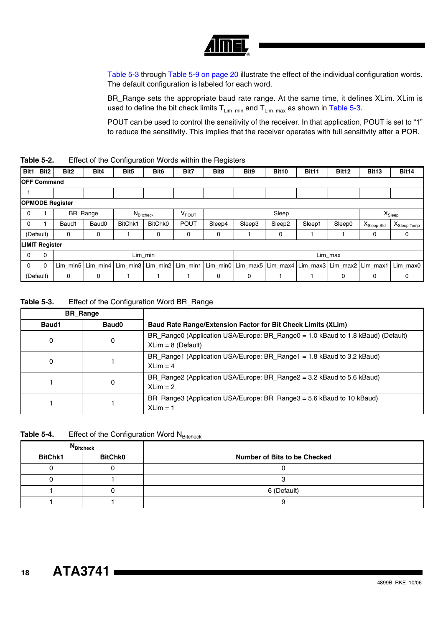| ® |
|---|

[Table 5-3](#page-17-1) through [Table 5-9 on page 20](#page-19-0) illustrate the effect of the individual configuration words. The default configuration is labeled for each word.

BR\_Range sets the appropriate baud rate range. At the same time, it defines XLim. XLim is used to define the bit check limits  $T_{Lim\_min}$  and  $T_{Lim\_max}$  as shown in [Table 5-3](#page-17-1).

POUT can be used to control the sensitivity of the receiver. In that application, POUT is set to "1" to reduce the sensitivity. This implies that the receiver operates with full sensitivity after a POR.

<span id="page-17-0"></span>

| Table 5-2. | Effect of the Configuration Words within the Registers |  |
|------------|--------------------------------------------------------|--|
|------------|--------------------------------------------------------|--|

| Bit1               | Bit <sub>2</sub>      | Bit <sub>2</sub>       | Bit4              | Bit <sub>5</sub> | Bit <sub>6</sub>                     | Bit7              | Bit8   | Bit9   | <b>Bit10</b>                              | <b>Bit11</b> | Bit12    | Bit <sub>13</sub> | <b>Bit14</b>     |
|--------------------|-----------------------|------------------------|-------------------|------------------|--------------------------------------|-------------------|--------|--------|-------------------------------------------|--------------|----------|-------------------|------------------|
| <b>OFF Command</b> |                       |                        |                   |                  |                                      |                   |        |        |                                           |              |          |                   |                  |
|                    |                       |                        |                   |                  |                                      |                   |        |        |                                           |              |          |                   |                  |
|                    |                       | <b>OPMODE Register</b> |                   |                  |                                      |                   |        |        |                                           |              |          |                   |                  |
| 0                  |                       |                        | BR_Range          |                  | $N_{\footnotesize{\text{Bitcheck}}}$ | V <sub>POUT</sub> |        |        | Sleep                                     |              |          |                   | $X_{Sleep}$      |
| 0                  |                       | Baud1                  | Baud <sub>0</sub> | BitChk1          | <b>BitChk0</b>                       | <b>POUT</b>       | Sleep4 | Sleep3 | Sleep2                                    | Sleep1       | Sleep0   | $X_{Sleep\,Std}$  | $X_{Sleep Temp}$ |
|                    | (Default)             | 0                      | 0                 |                  | 0                                    | 0                 | 0      |        | 0                                         |              |          | 0                 | 0                |
|                    | <b>LIMIT Register</b> |                        |                   |                  |                                      |                   |        |        |                                           |              |          |                   |                  |
| 0                  | $\mathbf 0$           | Lim_min                |                   |                  | Lim_max                              |                   |        |        |                                           |              |          |                   |                  |
| 0                  | $\Omega$              | Lim min5               | Lim $min4$        | Lim_min3         | Lim_min2                             | Lim_min1          |        |        | Lim_min0   Lim_max5   Lim_max4   Lim_max3 |              | Lim_max2 | Lim_max1          | Lim max0         |
|                    | (Default)             | 0                      | $\mathbf 0$       |                  |                                      |                   | 0      | 0      |                                           |              | 0        | 0                 | 0                |

<span id="page-17-1"></span>**Table 5-3.** Effect of the Configuration Word BR\_Range

| <b>BR</b> Range |       |                                                                                                          |
|-----------------|-------|----------------------------------------------------------------------------------------------------------|
| Baud1           | Baud0 | <b>Baud Rate Range/Extension Factor for Bit Check Limits (XLim)</b>                                      |
| 0               | 0     | BR_Range0 (Application USA/Europe: BR_Range0 = 1.0 kBaud to 1.8 kBaud) (Default)<br>$XLim = 8$ (Default) |
| 0               |       | BR_Range1 (Application USA/Europe: BR_Range1 = 1.8 kBaud to 3.2 kBaud)<br>$XLim = 4$                     |
|                 | 0     | BR_Range2 (Application USA/Europe: BR_Range2 = 3.2 kBaud to 5.6 kBaud)<br>$XLim = 2$                     |
|                 |       | BR_Range3 (Application USA/Europe: BR_Range3 = 5.6 kBaud to 10 kBaud)<br>$XLim = 1$                      |

Table 5-4. Effect of the Configuration Word N<sub>Bitcheck</sub>

|                | <b>N</b> Bitcheck |                              |
|----------------|-------------------|------------------------------|
| <b>BitChk1</b> | <b>BitChk0</b>    | Number of Bits to be Checked |
|                |                   |                              |
|                |                   |                              |
|                |                   | 6 (Default)                  |
|                |                   |                              |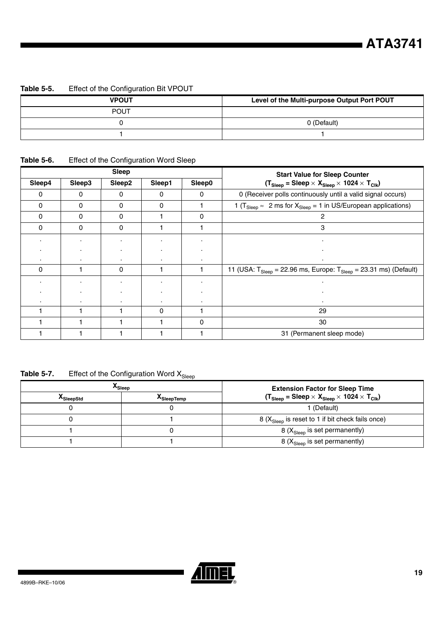#### **Table 5-5.** Effect of the Configuration Bit VPOUT

| <b>VPOUT</b> | Level of the Multi-purpose Output Port POUT |
|--------------|---------------------------------------------|
| <b>POUT</b>  |                                             |
|              | 0 (Default)                                 |
|              |                                             |

### <span id="page-18-0"></span>**Table 5-6.** Effect of the Configuration Word Sleep

|          |          | <b>Sleep</b> |          |        | <b>Start Value for Sleep Counter</b>                                                                |
|----------|----------|--------------|----------|--------|-----------------------------------------------------------------------------------------------------|
| Sleep4   | Sleep3   | Sleep2       | Sleep1   | Sleep0 | $(T_{Sleep} = Sleep \times X_{Sleep} \times 1024 \times T_{Clk})$                                   |
| 0        | 0        | $\mathbf{0}$ | 0        | 0      | 0 (Receiver polls continuously until a valid signal occurs)                                         |
| 0        | 0        | 0            | 0        |        | 1 ( $T_{\text{Sleep}} \approx 2 \text{ ms}$ for $X_{\text{Sleep}} = 1$ in US/European applications) |
| $\Omega$ | 0        | 0            |          | 0      |                                                                                                     |
| 0        | $\Omega$ | $\mathbf{0}$ |          |        | 3                                                                                                   |
|          | ٠.       |              |          |        |                                                                                                     |
|          |          |              |          |        |                                                                                                     |
|          |          |              |          |        |                                                                                                     |
| $\Omega$ |          | $\mathbf{0}$ |          |        | 11 (USA: $T_{Sleep}$ = 22.96 ms, Europe: $T_{Sleep}$ = 23.31 ms) (Default)                          |
|          | ٠        |              |          |        |                                                                                                     |
|          |          |              |          |        |                                                                                                     |
|          |          |              |          |        |                                                                                                     |
|          |          |              | $\Omega$ |        | 29                                                                                                  |
|          |          |              |          | 0      | 30                                                                                                  |
|          |          |              |          |        | 31 (Permanent sleep mode)                                                                           |

### **Table 5-7.** Effect of the Configuration Word  $X_{\text{Sleep}}$

|                   | ^Sleep     | <b>Extension Factor for Sleep Time</b>                            |
|-------------------|------------|-------------------------------------------------------------------|
| <b>X</b> SleepStd | ^SleepTemp | $(T_{Sleep} = Sleep \times X_{Sleep} \times 1024 \times T_{Clk})$ |
|                   |            | 1 (Default)                                                       |
|                   |            | 8 $(X_{Sleep}$ is reset to 1 if bit check fails once)             |
|                   |            | 8 $(X_{Sleep}$ is set permanently)                                |
|                   |            | 8 $(X_{Sleep}$ is set permanently)                                |

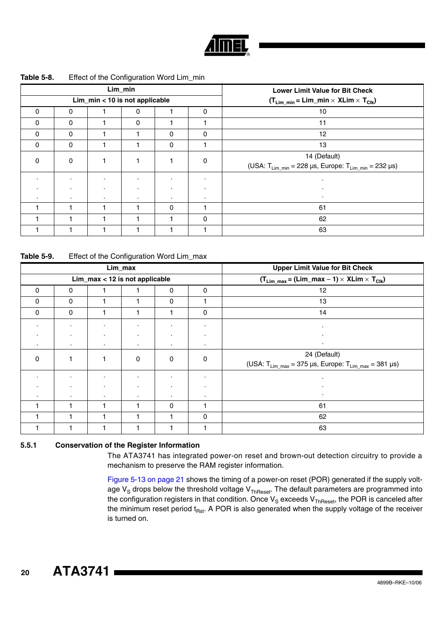

#### **Table 5-8.** Effect of the Configuration Word Lim\_min

|          |          |         | Lim_min                        |         |                | <b>Lower Limit Value for Bit Check</b>                                                                            |
|----------|----------|---------|--------------------------------|---------|----------------|-------------------------------------------------------------------------------------------------------------------|
|          |          |         | Lim_min < 10 is not applicable |         |                | $(T_{Lim\_min} = Lim\_min \times XLim \times T_{Clk})$                                                            |
| $\Omega$ | $\Omega$ |         |                                |         | $\Omega$       | 10                                                                                                                |
| $\Omega$ | $\Omega$ |         | $\Omega$                       |         |                | 11                                                                                                                |
| $\Omega$ | $\Omega$ |         |                                | 0       | $\mathbf{0}$   | 12                                                                                                                |
| 0        | 0        |         |                                | 0       |                | 13                                                                                                                |
| 0        | 0        |         |                                |         | 0              | 14 (Default)                                                                                                      |
|          |          |         |                                |         |                | (USA: $T_{\text{Lim\_min}} = 228 \text{ }\mu\text{s}$ , Europe: $T_{\text{Lim\_min}} = 232 \text{ }\mu\text{s}$ ) |
| ٠.       | ٠.       | $\cdot$ | ٠                              | ٠       |                |                                                                                                                   |
|          | ٠.       |         |                                |         | $\blacksquare$ |                                                                                                                   |
| $\cdot$  | ٠.       | $\cdot$ | $\cdot$                        | $\cdot$ |                |                                                                                                                   |
|          |          |         |                                | 0       |                | 61                                                                                                                |
|          |          |         |                                |         | $\mathbf{0}$   | 62                                                                                                                |
|          |          |         |                                |         |                | 63                                                                                                                |

<span id="page-19-0"></span>**Table 5-9.** Effect of the Configuration Word Lim\_max

|             |           |                                | Lim_max |   |   | <b>Upper Limit Value for Bit Check</b>                                                                                            |  |  |  |  |  |
|-------------|-----------|--------------------------------|---------|---|---|-----------------------------------------------------------------------------------------------------------------------------------|--|--|--|--|--|
|             |           | Lim_max < 12 is not applicable |         |   |   | $(T_{Lim\_max} = (Lim\_max - 1) \times XLim \times T_{Clk})$                                                                      |  |  |  |  |  |
| $\Omega$    | 0         |                                |         | 0 | 0 | 12                                                                                                                                |  |  |  |  |  |
| $\Omega$    | 0         |                                |         | 0 |   | 13                                                                                                                                |  |  |  |  |  |
| 0           | 0         |                                |         |   | 0 | 14                                                                                                                                |  |  |  |  |  |
| ٠           | ٠         |                                |         |   |   |                                                                                                                                   |  |  |  |  |  |
|             | ٠         |                                |         |   |   |                                                                                                                                   |  |  |  |  |  |
| $\cdot$     | $\bullet$ |                                | ٠       |   | ٠ |                                                                                                                                   |  |  |  |  |  |
| $\mathbf 0$ |           |                                | 0       | 0 | 0 | 24 (Default)<br>(USA: $T_{\text{Lim\_max}} = 375 \text{ }\mu\text{s}$ , Europe: $T_{\text{Lim\_max}} = 381 \text{ }\mu\text{s}$ ) |  |  |  |  |  |
|             | ٠         |                                |         |   |   |                                                                                                                                   |  |  |  |  |  |
|             |           |                                |         |   |   |                                                                                                                                   |  |  |  |  |  |
|             |           |                                |         |   |   |                                                                                                                                   |  |  |  |  |  |
|             |           |                                |         | 0 |   | 61                                                                                                                                |  |  |  |  |  |
|             |           |                                |         |   | 0 | 62                                                                                                                                |  |  |  |  |  |
|             |           |                                |         |   |   | 63                                                                                                                                |  |  |  |  |  |

#### **5.5.1 Conservation of the Register Information**

The ATA3741 has integrated power-on reset and brown-out detection circuitry to provide a mechanism to preserve the RAM register information.

[Figure 5-13 on page 21](#page-20-0) shows the timing of a power-on reset (POR) generated if the supply voltage  $V_S$  drops below the threshold voltage  $V_{ThReset}$ . The default parameters are programmed into the configuration registers in that condition. Once  $V_S$  exceeds  $V_{ThReset}$ , the POR is canceled after the minimum reset period  $t_{Rst}$ . A POR is also generated when the supply voltage of the receiver is turned on.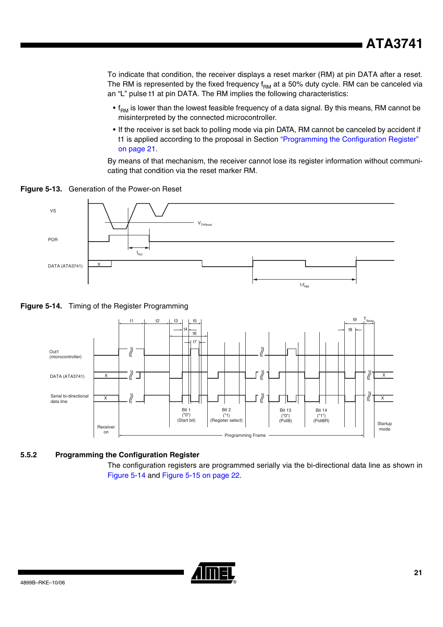To indicate that condition, the receiver displays a reset marker (RM) at pin DATA after a reset. The RM is represented by the fixed frequency  $f<sub>RM</sub>$  at a 50% duty cycle. RM can be canceled via an "L" pulse t1 at pin DATA. The RM implies the following characteristics:

- $\bullet$  f<sub>RM</sub> is lower than the lowest feasible frequency of a data signal. By this means, RM cannot be misinterpreted by the connected microcontroller.
- If the receiver is set back to polling mode via pin DATA, RM cannot be canceled by accident if t1 is applied according to the proposal in Section ["Programming the Configuration Register"](#page-20-1)  [on page 21.](#page-20-1)

By means of that mechanism, the receiver cannot lose its register information without communicating that condition via the reset marker RM.

<span id="page-20-0"></span>**Figure 5-13.** Generation of the Power-on Reset



<span id="page-20-2"></span>**Figure 5-14.** Timing of the Register Programming



#### <span id="page-20-1"></span>**5.5.2 Programming the Configuration Register**

The configuration registers are programmed serially via the bi-directional data line as shown in [Figure 5-14](#page-20-2) and [Figure 5-15 on page 22.](#page-21-0)

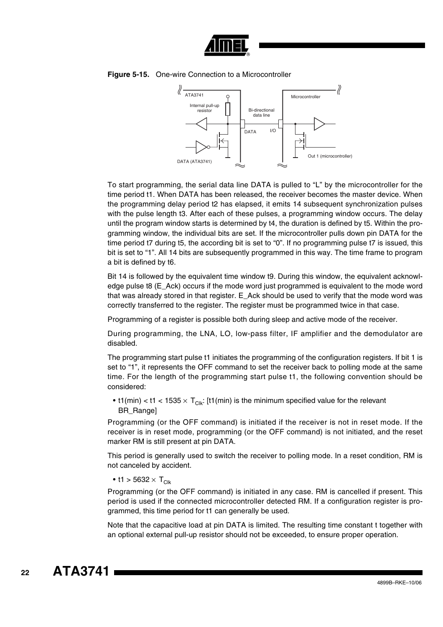



<span id="page-21-0"></span>

To start programming, the serial data line DATA is pulled to "L" by the microcontroller for the time period t1. When DATA has been released, the receiver becomes the master device. When the programming delay period t2 has elapsed, it emits 14 subsequent synchronization pulses with the pulse length t3. After each of these pulses, a programming window occurs. The delay until the program window starts is determined by t4, the duration is defined by t5. Within the programming window, the individual bits are set. If the microcontroller pulls down pin DATA for the time period t7 during t5, the according bit is set to "0". If no programming pulse t7 is issued, this bit is set to "1". All 14 bits are subsequently programmed in this way. The time frame to program a bit is defined by t6.

Bit 14 is followed by the equivalent time window t9. During this window, the equivalent acknowledge pulse t8 (E\_Ack) occurs if the mode word just programmed is equivalent to the mode word that was already stored in that register. E\_Ack should be used to verify that the mode word was correctly transferred to the register. The register must be programmed twice in that case.

Programming of a register is possible both during sleep and active mode of the receiver.

During programming, the LNA, LO, low-pass filter, IF amplifier and the demodulator are disabled.

The programming start pulse t1 initiates the programming of the configuration registers. If bit 1 is set to "1", it represents the OFF command to set the receiver back to polling mode at the same time. For the length of the programming start pulse t1, the following convention should be considered:

• t1(min) < t1 < 1535  $\times$  T<sub>Clk</sub>: [t1(min) is the minimum specified value for the relevant BR\_Range]

Programming (or the OFF command) is initiated if the receiver is not in reset mode. If the receiver is in reset mode, programming (or the OFF command) is not initiated, and the reset marker RM is still present at pin DATA.

This period is generally used to switch the receiver to polling mode. In a reset condition, RM is not canceled by accident.

• t1 > 5632  $\times$  T<sub>Clk</sub>

Programming (or the OFF command) is initiated in any case. RM is cancelled if present. This period is used if the connected microcontroller detected RM. If a configuration register is programmed, this time period for t1 can generally be used.

Note that the capacitive load at pin DATA is limited. The resulting time constant t together with an optional external pull-up resistor should not be exceeded, to ensure proper operation.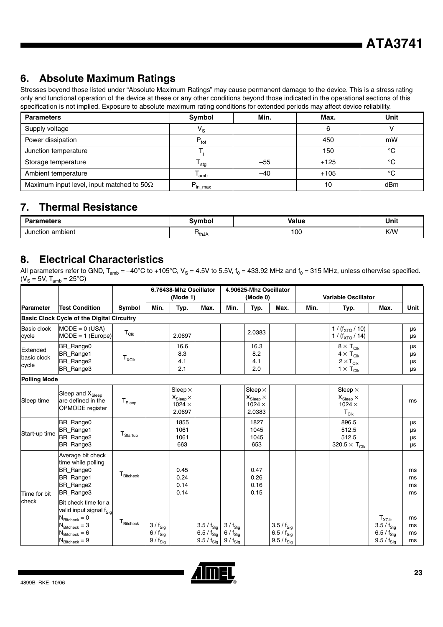### **6. Absolute Maximum Ratings**

Stresses beyond those listed under "Absolute Maximum Ratings" may cause permanent damage to the device. This is a stress rating only and functional operation of the device at these or any other conditions beyond those indicated in the operational sections of this specification is not implied. Exposure to absolute maximum rating conditions for extended periods may affect device reliability.

| <b>Parameters</b>                                 | Symbol                          | Min.  | Max.   | Unit    |
|---------------------------------------------------|---------------------------------|-------|--------|---------|
| Supply voltage                                    | $\mathsf{V}_\mathbf{S}$         |       |        |         |
| Power dissipation                                 | $P_{\text{tot}}$                |       | 450    | mW      |
| Junction temperature                              |                                 |       | 150    | $\circ$ |
| Storage temperature                               | $\mathsf{I}$ stg                | $-55$ | $+125$ | $\sim$  |
| Ambient temperature                               | l amb                           | -40   | $+105$ | $\circ$ |
| Maximum input level, input matched to 50 $\Omega$ | $\mathsf{P}_{\mathsf{in\_max}}$ |       |        | dBm     |

### **7. Thermal Resistance**

| <b>Parameters</b>          | Svmbol                        | <b>Value</b> | Unit<br>$\sim$ $\sim$ |  |
|----------------------------|-------------------------------|--------------|-----------------------|--|
| ı ambient<br>Junctior<br>. | <sup>1</sup> thJ <sub>A</sub> | 100<br>$ -$  | K/W                   |  |

### <span id="page-22-0"></span>**8. Electrical Characteristics**

|                                  |                                                                                                                                                                                 |                          |                                                                   | 6.76438-Mhz Oscillator<br>(Mode 1)                                    |                                                             |                                                              | 4.90625-Mhz Oscillator<br>(Mode 0)                                               |                                                                     |      | <b>Variable Oscillator</b>                                                              |                                                                                 |                             |
|----------------------------------|---------------------------------------------------------------------------------------------------------------------------------------------------------------------------------|--------------------------|-------------------------------------------------------------------|-----------------------------------------------------------------------|-------------------------------------------------------------|--------------------------------------------------------------|----------------------------------------------------------------------------------|---------------------------------------------------------------------|------|-----------------------------------------------------------------------------------------|---------------------------------------------------------------------------------|-----------------------------|
| Parameter                        | <b>Test Condition</b>                                                                                                                                                           | Symbol                   | Min.                                                              | Typ.                                                                  | Max.                                                        | Min.                                                         | Typ.                                                                             | Max.                                                                | Min. | Typ.                                                                                    | Max.                                                                            | <b>Unit</b>                 |
|                                  | <b>Basic Clock Cycle of the Digital Circuitry</b>                                                                                                                               |                          |                                                                   |                                                                       |                                                             |                                                              |                                                                                  |                                                                     |      |                                                                                         |                                                                                 |                             |
| <b>Basic clock</b><br>cycle      | $MODE = 0 (USA)$<br>$MODE = 1$ (Europe)                                                                                                                                         | $T_{Clk}$                |                                                                   | 2.0697                                                                |                                                             |                                                              | 2.0383                                                                           |                                                                     |      | 1 / $(f_{\text{XTO}} / 10)$<br>$1 / (f_{\text{XTO}} / 14)$                              |                                                                                 | μs<br>μs                    |
| Extended<br>basic clock<br>cycle | BR_Range0<br>BR_Range1<br><b>BR</b> Range2<br><b>BR</b> Range3                                                                                                                  | $T_{XCIk}$               |                                                                   | 16.6<br>8.3<br>4.1<br>2.1                                             |                                                             |                                                              | 16.3<br>8.2<br>4.1<br>2.0                                                        |                                                                     |      | $8 \times T_{\text{Clk}}$<br>$4 \times T_{C}$<br>$2 \times T_{C}$<br>$1 \times T_{Clk}$ |                                                                                 | μs<br>μs<br>μs<br><b>us</b> |
| <b>Polling Mode</b>              |                                                                                                                                                                                 |                          |                                                                   |                                                                       |                                                             |                                                              |                                                                                  |                                                                     |      |                                                                                         |                                                                                 |                             |
| Sleep time                       | Sleep and X <sub>Sleep</sub><br>are defined in the<br>OPMODE register                                                                                                           | $T_{\textnormal{Sleep}}$ |                                                                   | Sleep $\times$<br>$X_{\text{Sleep}}\times$<br>$1024 \times$<br>2.0697 |                                                             |                                                              | Sleep $\times$<br>$\mathsf{X}_{\mathsf{Sleep}}\times$<br>$1024 \times$<br>2.0383 |                                                                     |      | Sleep $\times$<br>$X_{Sleep}$ $\times$<br>$1024 \times$<br>$T_{Clk}$                    |                                                                                 | ms                          |
| Start-up time                    | BR_Range0<br><b>BR</b> Range1<br><b>BR</b> Range2<br>BR_Range3                                                                                                                  | ${\sf T}_{\sf Startup}$  |                                                                   | 1855<br>1061<br>1061<br>663                                           |                                                             |                                                              | 1827<br>1045<br>1045<br>653                                                      |                                                                     |      | 896.5<br>512.5<br>512.5<br>320.5 $\times$ T <sub>Clk</sub>                              |                                                                                 | μs<br>μs<br>μs<br>μs        |
| Time for bit                     | Average bit check<br>time while polling<br><b>BR</b> Range0<br><b>BR</b> Range1<br>BR_Range2<br><b>BR</b> Range3                                                                | $T_{\text{Bitcheck}}$    |                                                                   | 0.45<br>0.24<br>0.14<br>0.14                                          |                                                             |                                                              | 0.47<br>0.26<br>0.16<br>0.15                                                     |                                                                     |      |                                                                                         |                                                                                 | ms<br>ms<br>ms<br>ms        |
| check                            | Bit check time for a<br>valid input signal f <sub>Sig</sub><br>$N_{\text{Bitcheck}} = 0$<br>$N_{\text{Bitcheck}} = 3$<br>$N_{\text{Bitcheck}} = 6$<br>$N_{\text{Bitcheck}} = 9$ | T <sub>Bitcheck</sub>    | $3/ f_{Sig}$<br>$6/ f_{Sig}$<br>$9$ / $\mathsf{f}_{\mathsf{Sig}}$ |                                                                       | $3.5/ f_{Sig}$<br>6.5 / $f_{Sig}$<br>$9.5 / f_{\text{Sig}}$ | $3/ f_{Sig}$<br>$6/ f_{\text{Sig}}$<br>$9/$ f <sub>Sig</sub> |                                                                                  | 3.5 / $f_{Sig}$<br>6.5 / $f_{\text{Sig}}$<br>$9.5$ / $\rm{f_{Sig}}$ |      |                                                                                         | $T_{XClk}$<br>$3.5/ f_{Sig}$<br>6.5 / $f_{\text{Sig}}$<br>$9.5/ f_{\text{Sig}}$ | ms<br>ms<br>ms<br>ms        |

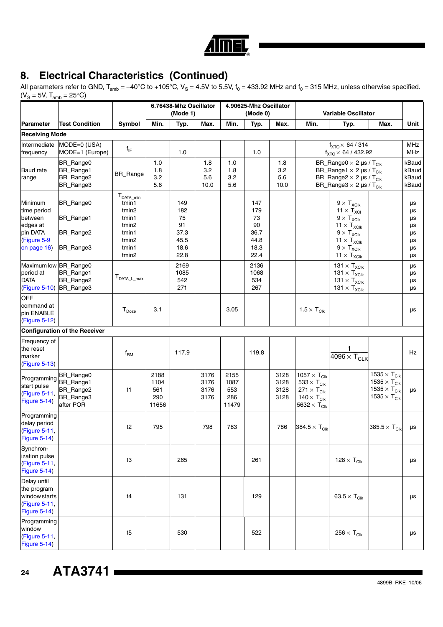

All parameters refer to GND, T<sub>amb</sub> = –40°C to +105°C, V<sub>S</sub> = 4.5V to 5.5V, f<sub>0</sub> = 433.92 MHz and f<sub>0</sub> = 315 MHz, unless otherwise specified.  $(V<sub>S</sub> = 5V, T<sub>amb</sub> = 25°C)$ 

| ๛๛                                                                                      |                                                               |                                                                                         |                                     | 6.76438-Mhz Oscillator<br>(Mode 1)                     |                              |                                     | 4.90625-Mhz Oscillator<br>(Mode 0)                     |                              | <b>Variable Oscillator</b>                                                                                                                                      |                                                                                                                                                                                                                      |                                                                                                                                      |                                              |
|-----------------------------------------------------------------------------------------|---------------------------------------------------------------|-----------------------------------------------------------------------------------------|-------------------------------------|--------------------------------------------------------|------------------------------|-------------------------------------|--------------------------------------------------------|------------------------------|-----------------------------------------------------------------------------------------------------------------------------------------------------------------|----------------------------------------------------------------------------------------------------------------------------------------------------------------------------------------------------------------------|--------------------------------------------------------------------------------------------------------------------------------------|----------------------------------------------|
| <b>Parameter</b>                                                                        | <b>Test Condition</b>                                         | <b>Symbol</b>                                                                           | Min.                                | Typ.                                                   | Max.                         | Min.                                | Typ.                                                   | Max.                         | Min.                                                                                                                                                            | Typ.                                                                                                                                                                                                                 | Max.                                                                                                                                 | Unit                                         |
| <b>Receiving Mode</b>                                                                   |                                                               |                                                                                         |                                     |                                                        |                              |                                     |                                                        |                              |                                                                                                                                                                 |                                                                                                                                                                                                                      |                                                                                                                                      |                                              |
| Intermediate<br>frequency                                                               | MODE=0 (USA)<br>MODE=1 (Europe)                               | $f_{IF}$                                                                                |                                     | 1.0                                                    |                              |                                     | 1.0                                                    |                              |                                                                                                                                                                 | $f_{\text{XTO}}\times 64 / 314$<br>$f_{\text{XTO}}$ $\times$ 64 / 432.92                                                                                                                                             |                                                                                                                                      | MHz<br>MHz                                   |
| <b>Baud</b> rate<br>range                                                               | BR_Range0<br>BR_Range1<br>BR_Range2<br>BR_Range3              | BR_Range                                                                                | 1.0<br>1.8<br>3.2<br>5.6            |                                                        | 1.8<br>3.2<br>5.6<br>10.0    | 1.0<br>1.8<br>3.2<br>5.6            |                                                        | 1.8<br>3.2<br>5.6<br>10.0    |                                                                                                                                                                 | BR_Range0 $\times$ 2 µs / T <sub>Clk</sub><br>BR_Range1 $\times$ 2 µs / T <sub>Clk</sub><br>BR_Range2 $\times$ 2 µs / T <sub>Clk</sub><br>BR_Range3 $\times$ 2 µs / T <sub>Clk</sub>                                 |                                                                                                                                      | kBaud<br>kBaud<br>kBaud<br>kBaud             |
| Minimum<br>time period<br>between<br>edges at<br>pin DATA<br>(Figure 5-9<br>on page 16) | <b>BR</b> Range0<br>BR_Range1<br>BR_Range2<br>BR_Range3       | $T_{DATA\_min}$<br>tmin1<br>tmin2<br>tmin1<br>tmin2<br>tmin1<br>tmin2<br>tmin1<br>tmin2 |                                     | 149<br>182<br>75<br>91<br>37.3<br>45.5<br>18.6<br>22.8 |                              |                                     | 147<br>179<br>73<br>90<br>36.7<br>44.8<br>18.3<br>22.4 |                              |                                                                                                                                                                 | $9 \times T_{XClk}$<br>$11 \times T_{XCI}$<br>$9\times \textsf{T}_{\text{XClk}}$<br>$11 \times T_{XClk}$<br>$9\times\,T_{\text{XClk}}$<br>$11 \times T_{XClk}$<br>$9\times\,T_{\text{XClk}}$<br>$11 \times T_{XClk}$ |                                                                                                                                      | μs<br>μs<br>μs<br>μs<br>μs<br>μs<br>μs<br>μs |
| Maximum low<br>period at<br><b>DATA</b><br>(Figure 5-10)                                | BR_Range0<br>BR_Range1<br>BR_Range2<br>BR_Range3              | $T_{DATA\_L\_max}$                                                                      |                                     | 2169<br>1085<br>542<br>271                             |                              |                                     | 2136<br>1068<br>534<br>267                             |                              |                                                                                                                                                                 | 131 $\times$ T <sub>XClk</sub><br>$131\times T_{\text{XClk}}$<br>$131 \times T_{XClk}$<br>$131 \times T_{XClk}$                                                                                                      |                                                                                                                                      | μs<br>μs<br>μs<br>μs                         |
| OFF<br>command at<br>pin ENABLE<br>(Figure 5-12)                                        |                                                               | $\mathsf{T}_{\mathsf{Doxe}}$                                                            | 3.1                                 |                                                        |                              | 3.05                                |                                                        |                              | $1.5 \times T_{Clk}$                                                                                                                                            |                                                                                                                                                                                                                      |                                                                                                                                      | μs                                           |
|                                                                                         | <b>Configuration of the Receiver</b>                          |                                                                                         |                                     |                                                        |                              |                                     |                                                        |                              |                                                                                                                                                                 |                                                                                                                                                                                                                      |                                                                                                                                      |                                              |
| Frequency of<br>the reset<br>marker<br>(Figure 5-13)                                    |                                                               | $f_{\mathsf{RM}}$                                                                       |                                     | 117.9                                                  |                              |                                     | 119.8                                                  |                              |                                                                                                                                                                 | 1.<br>$\frac{1}{4096 \times T_{CLK}}$                                                                                                                                                                                |                                                                                                                                      | Hz                                           |
| Programming<br>start pulse<br>(Figure 5-11,<br>Figure 5-14)                             | BR_Range0<br>BR_Range1<br>BR_Range2<br>BR_Range3<br>after POR | t1                                                                                      | 2188<br>1104<br>561<br>290<br>11656 |                                                        | 3176<br>3176<br>3176<br>3176 | 2155<br>1087<br>553<br>286<br>11479 |                                                        | 3128<br>3128<br>3128<br>3128 | 1057 $\times$ T <sub>Clk</sub><br>$533 \times T_{\text{Clk}}$<br>$271 \times T_{\text{Clk}}$<br>140 $\times$ T <sub>Clk</sub><br>5632 $\times$ T <sub>Clk</sub> |                                                                                                                                                                                                                      | 1535 $\times$ T <sub>Clk</sub><br>1535 $\times$ T <sub>Clk</sub><br>1535 $\times$ T <sub>Clk</sub><br>1535 $\times$ T <sub>Clk</sub> | μs                                           |
| Programming<br>delay period<br>(Figure 5-11,<br>Figure 5-14)                            |                                                               | t2                                                                                      | 795                                 |                                                        | 798                          | 783                                 |                                                        | 786                          | 384.5 $\times$ T <sub>Clk</sub>                                                                                                                                 |                                                                                                                                                                                                                      | 385.5 $\times$ T <sub>Clk</sub>                                                                                                      | μs                                           |
| Synchron-<br>ization pulse<br>(Figure 5-11,<br>Figure 5-14)                             |                                                               | t3                                                                                      |                                     | 265                                                    |                              |                                     | 261                                                    |                              |                                                                                                                                                                 | 128 $\times$ T <sub>Clk</sub>                                                                                                                                                                                        |                                                                                                                                      | μs                                           |
| Delay until<br>the program<br>window starts<br>(Figure 5-11,<br><b>Figure 5-14)</b>     |                                                               | t4                                                                                      |                                     | 131                                                    |                              |                                     | 129                                                    |                              |                                                                                                                                                                 | 63.5 $\times$ T <sub>Clk</sub>                                                                                                                                                                                       |                                                                                                                                      | μs                                           |
| Programming<br>window<br>(Figure 5-11,<br><b>Figure 5-14)</b>                           |                                                               | t5                                                                                      |                                     | 530                                                    |                              |                                     | 522                                                    |                              |                                                                                                                                                                 | $256 \times T_{\text{Clk}}$                                                                                                                                                                                          |                                                                                                                                      | μs                                           |

**24 ATA3741**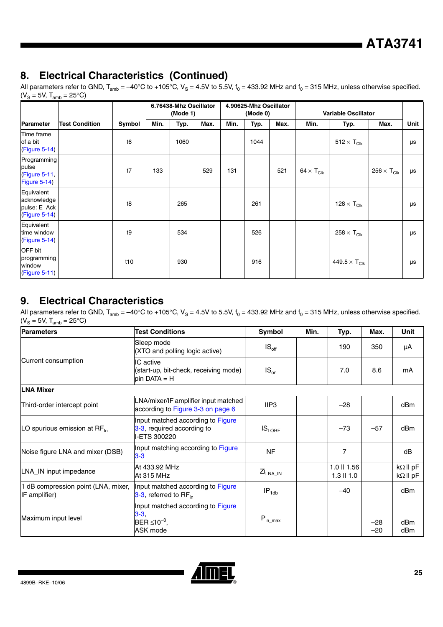All parameters refer to GND, T<sub>amb</sub> = –40°C to +105°C, V<sub>S</sub> = 4.5V to 5.5V, f<sub>0</sub> = 433.92 MHz and f<sub>0</sub> = 315 MHz, unless otherwise specified.  $(V<sub>S</sub> = 5V, T<sub>amb</sub> = 25°C)$ 

|                                                                       |                       |                |      | 6.76438-Mhz Oscillator<br>(Mode 1) |      |      | 4.90625-Mhz Oscillator<br>(Mode 0) |      |                              | <b>Variable Oscillator</b>      |                             |      |
|-----------------------------------------------------------------------|-----------------------|----------------|------|------------------------------------|------|------|------------------------------------|------|------------------------------|---------------------------------|-----------------------------|------|
| Parameter                                                             | <b>Test Condition</b> | Symbol         | Min. | Typ.                               | Max. | Min. | Typ.                               | Max. | Min.                         | Typ.                            | Max.                        | Unit |
| Time frame<br>of a bit<br>$CFigure 5-14)$                             |                       | t <sub>6</sub> |      | 1060                               |      |      | 1044                               |      |                              | $512 \times T_{C}$              |                             | μs   |
| Programming<br>pulse<br>(Figure 5-11,<br>Figure 5-14)                 |                       | t7             | 133  |                                    | 529  | 131  |                                    | 521  | 64 $\times$ T <sub>Clk</sub> |                                 | $256 \times T_{\text{Clk}}$ | μs   |
| Equivalent<br>acknowledge<br>pulse: E_Ack<br>(Figure 5-14)            |                       | t8             |      | 265                                |      |      | 261                                |      |                              | 128 $\times$ T <sub>Clk</sub>   |                             | μs   |
| Equivalent<br>time window<br>$(Figure 5-14)$                          |                       | t9             |      | 534                                |      |      | 526                                |      |                              | $258 \times T_{\text{Clk}}$     |                             | μs   |
| OFF bit<br>programming<br>window<br>$\left(\text{Figure 5-11}\right)$ |                       | t10            |      | 930                                |      |      | 916                                |      |                              | 449.5 $\times$ T <sub>Clk</sub> |                             | μs   |

### **9. Electrical Characteristics**

All parameters refer to GND,  $T_{amb} = -40^{\circ}$ C to +105°C, V<sub>S</sub> = 4.5V to 5.5V,  $f_0 = 433.92$  MHz and  $f_0 = 315$  MHz, unless otherwise specified.  $(V_S = 5V, T_{amb} = 25^{\circ}C)$ 

| <b>Parameters</b>                                    | <b>Test Conditions</b>                                                             | Symbol                      | Min. | Typ.                              | Max.           | Unit                                      |
|------------------------------------------------------|------------------------------------------------------------------------------------|-----------------------------|------|-----------------------------------|----------------|-------------------------------------------|
|                                                      | Sleep mode<br>(XTO and polling logic active)                                       | $IS_{\text{off}}$           |      | 190                               | 350            | μA                                        |
| Current consumption                                  | IC active<br>(start-up, bit-check, receiving mode)<br>$pin \, DATA = H$            | $IS_{on}$                   |      | 7.0                               | 8.6            | mA                                        |
| <b>LNA Mixer</b>                                     |                                                                                    |                             |      |                                   |                |                                           |
| Third-order intercept point                          | LNA/mixer/IF amplifier input matched<br>according to Figure 3-3 on page 6          | IIP3                        |      | $-28$                             |                | dBm                                       |
| LO spurious emission at RF <sub>In</sub>             | Input matched according to Figure<br>3-3, required according to<br>I-ETS 300220    | $IS_{LORF}$                 |      | $-73$                             | $-57$          | dBm                                       |
| Noise figure LNA and mixer (DSB)                     | Input matching according to Figure<br>$3 - 3$                                      | <b>NF</b>                   |      | 7                                 |                | dB                                        |
| LNA_IN input impedance                               | At 433.92 MHz<br>At 315 MHz                                                        | Zi <sub>LNA_IN</sub>        |      | $1.0$    $1.56$<br>$1.3$    $1.0$ |                | $k\Omega$    pF<br>$k\Omega \parallel pF$ |
| 1 dB compression point (LNA, mixer,<br>IF amplifier) | Input matched according to Figure<br>$3-3$ , referred to RF <sub>in</sub>          | $IP_{1db}$                  |      | $-40$                             |                | dB <sub>m</sub>                           |
| Maximum input level                                  | Input matched according to Figure<br>$3 - 3$ .<br>$BER \leq 10^{-3}$ ,<br>ASK mode | $P_{\text{in} \text{ max}}$ |      |                                   | $-28$<br>$-20$ | dBm<br>dBm                                |

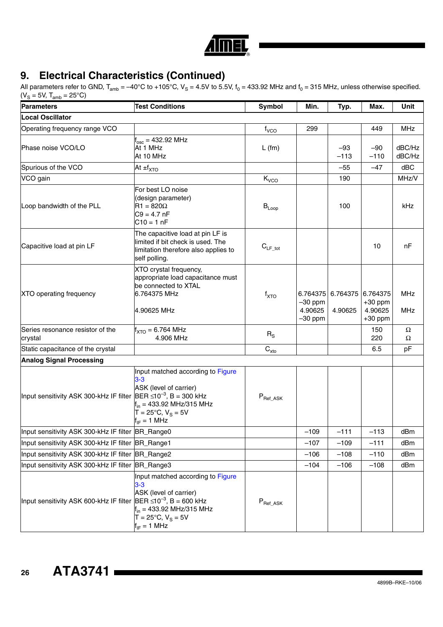

| <b>Parameters</b>                                                           | <b>Test Conditions</b>                                                                                                                                                                           | Symbol                                    | Min.                                          | Typ.                | Max.                                          | Unit                     |
|-----------------------------------------------------------------------------|--------------------------------------------------------------------------------------------------------------------------------------------------------------------------------------------------|-------------------------------------------|-----------------------------------------------|---------------------|-----------------------------------------------|--------------------------|
| <b>Local Oscillator</b>                                                     |                                                                                                                                                                                                  |                                           |                                               |                     |                                               |                          |
| Operating frequency range VCO                                               |                                                                                                                                                                                                  | f <sub>VCO</sub>                          | 299                                           |                     | 449                                           | <b>MHz</b>               |
| Phase noise VCO/LO                                                          | $f_{osc} = 432.92$ MHz<br>At 1 MHz<br>At 10 MHz                                                                                                                                                  | $L$ (fm)                                  |                                               | -93<br>$-113$       | $-90$<br>$-110$                               | dBC/Hz<br>dBC/Hz         |
| Spurious of the VCO                                                         | At $\pm f_{\text{XTO}}$                                                                                                                                                                          |                                           |                                               | $-55$               | $-47$                                         | dBC                      |
| VCO gain                                                                    |                                                                                                                                                                                                  | $K_{VCO}$                                 |                                               | 190                 |                                               | MHz/V                    |
| Loop bandwidth of the PLL                                                   | For best LO noise<br>(design parameter)<br>$R1 = 820\Omega$<br>$C9 = 4.7 nF$<br>$C10 = 1 nF$                                                                                                     | $B_{Loop}$                                |                                               | 100                 |                                               | kHz                      |
| Capacitive load at pin LF                                                   | The capacitive load at pin LF is<br>limited if bit check is used. The<br>limitation therefore also applies to<br>self polling.                                                                   | $C_{LF\_tot}$                             |                                               |                     | 10                                            | nF                       |
| XTO operating frequency                                                     | XTO crystal frequency,<br>appropriate load capacitance must<br>be connected to XTAL<br>6.764375 MHz<br>4.90625 MHz                                                                               | $f_{\text{XTO}}$                          | 6.764375<br>$-30$ ppm<br>4.90625<br>$-30$ ppm | 6.764375<br>4.90625 | 6.764375<br>$+30$ ppm<br>4.90625<br>$+30$ ppm | <b>MHz</b><br><b>MHz</b> |
| Series resonance resistor of the<br>crystal                                 | $f_{\text{XTO}} = 6.764 \text{ MHz}$<br>4.906 MHz                                                                                                                                                | $R_{\rm S}$                               |                                               |                     | 150<br>220                                    | Ω<br>Ω                   |
| Static capacitance of the crystal                                           |                                                                                                                                                                                                  | $\mathbf{C}_{\mathsf{xto}}$               |                                               |                     | 6.5                                           | pF                       |
| <b>Analog Signal Processing</b>                                             |                                                                                                                                                                                                  |                                           |                                               |                     |                                               |                          |
| Input sensitivity ASK 300-kHz IF filter                                     | Input matched according to Figure<br>$3 - 3$<br>ASK (level of carrier)<br>$BER \le 10^{-3}$ , B = 300 kHz<br>$f_{in}$ = 433.92 MHz/315 MHz<br>$T = 25^{\circ}C$ , $V_S = 5V$<br>$f_{IF} = 1 MHz$ | $P_{\text{Ref}\_ \text{ASK}}$             |                                               |                     |                                               |                          |
| Input sensitivity ASK 300-kHz IF filter BR_Range0                           |                                                                                                                                                                                                  |                                           | $-109$                                        | $-111$              | $-113$                                        | dBm                      |
| Input sensitivity ASK 300-kHz IF filter BR_Range1                           |                                                                                                                                                                                                  |                                           | $-107$                                        | $-109$              | $-111$                                        | dBm                      |
| Input sensitivity ASK 300-kHz IF filter                                     | BR_Range2                                                                                                                                                                                        |                                           | $-106$                                        | $-108$              | $-110$                                        | dBm                      |
| Input sensitivity ASK 300-kHz IF filter BR_Range3                           |                                                                                                                                                                                                  |                                           | $-104$                                        | $-106$              | $-108$                                        | dBm                      |
| Input sensitivity ASK 600-kHz IF filter BER ≤10 <sup>-3</sup> , B = 600 kHz | Input matched according to Figure<br>$3-3$<br>ASK (level of carrier)<br>$f_{in}$ = 433.92 MHz/315 MHz<br>$T = 25^{\circ}C$ , $V_S = 5V$<br>$f_{IF} = 1 MHz$                                      | $\mathsf{P}_{\mathsf{Ref}\_\mathsf{ASK}}$ |                                               |                     |                                               |                          |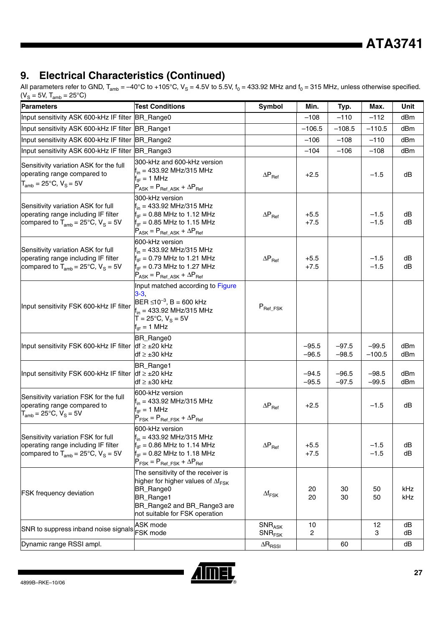**ATA3741**

### **9. Electrical Characteristics (Continued)**

| <b>Parameters</b>                                                                                                     | <b>Test Conditions</b>                                                                                                                                                              | Symbol                            | Min.               | Typ.               | Max.                | Unit       |
|-----------------------------------------------------------------------------------------------------------------------|-------------------------------------------------------------------------------------------------------------------------------------------------------------------------------------|-----------------------------------|--------------------|--------------------|---------------------|------------|
| Input sensitivity ASK 600-kHz IF filter BR_Range0                                                                     |                                                                                                                                                                                     |                                   | $-108$             | $-110$             | $-112$              | dBm        |
| Input sensitivity ASK 600-kHz IF filter BR_Range1                                                                     |                                                                                                                                                                                     |                                   | $-106.5$           | $-108.5$           | $-110.5$            | dBm        |
| Input sensitivity ASK 600-kHz IF filter                                                                               | BR_Range2                                                                                                                                                                           |                                   | $-106$             | $-108$             | $-110$              | dBm        |
| Input sensitivity ASK 600-kHz IF filter BR_Range3                                                                     |                                                                                                                                                                                     |                                   | $-104$             | $-106$             | $-108$              | dBm        |
| Sensitivity variation ASK for the full<br>operating range compared to<br>$T_{amb} = 25^{\circ}C, V_S = 5V$            | 300-kHz and 600-kHz version<br>$f_{in}$ = 433.92 MHz/315 MHz<br>$f_{IF} = 1 \text{ MHz}$<br>$P_{ASK} = P_{Ref\_ASK} + \Delta P_{Ref}$                                               | $\Delta P_{\text{Ref}}$           | $+2.5$             |                    | $-1.5$              | dB         |
| Sensitivity variation ASK for full<br>operating range including IF filter<br>compared to $T_{amb}$ = 25°C, $V_S$ = 5V | 300-kHz version<br>$f_{in}$ = 433.92 MHz/315 MHz<br>$f_{IF} = 0.88$ MHz to 1.12 MHz<br>$f_{IF} = 0.85$ MHz to 1.15 MHz<br>$P_{ASK} = P_{Ref\_ASK} + \Delta P_{Ref}$                 | $\Delta P_{\text{Ref}}$           | $+5.5$<br>$+7.5$   |                    | $-1.5$<br>$-1.5$    | dB<br>dB   |
| Sensitivity variation ASK for full<br>operating range including IF filter<br>compared to $T_{amb}$ = 25°C, $V_S$ = 5V | 600-kHz version<br>$f_{in}$ = 433.92 MHz/315 MHz<br>$f_{IF} = 0.79$ MHz to 1.21 MHz<br>$f_{IF} = 0.73$ MHz to 1.27 MHz<br>$P_{ASK} = P_{Ret ASK} + \Delta P_{Ref}$                  | $\Delta P_{\text{Ref}}$           | $+5.5$<br>$+7.5$   |                    | $-1.5$<br>$-1.5$    | dB<br>dB   |
| Input sensitivity FSK 600-kHz IF filter                                                                               | Input matched according to Figure<br>$3 - 3,$<br>BER ≤10 <sup>-3</sup> , B = 600 kHz<br>$f_{in}$ = 433.92 MHz/315 MHz<br>$T = 25^{\circ}C$ , $V_S = 5V$<br>$f_{IF} = 1 \text{ MHz}$ | $P_{\text{Ref\_FSK}}$             |                    |                    |                     |            |
| Input sensitivity FSK 600-kHz IF filter                                                                               | BR_Range0<br>$df \geq \pm 20$ kHz<br>$df \geq \pm 30$ kHz                                                                                                                           |                                   | $-95.5$<br>$-96.5$ | $-97.5$<br>$-98.5$ | $-99.5$<br>$-100.5$ | dBm<br>dBm |
| Input sensitivity FSK 600-kHz IF filter                                                                               | BR_Range1<br>$df \geq \pm 20$ kHz<br>$df \geq \pm 30$ kHz                                                                                                                           |                                   | $-94.5$<br>$-95.5$ | $-96.5$<br>$-97.5$ | $-98.5$<br>$-99.5$  | dBm<br>dBm |
| Sensitivity variation FSK for the full<br>operating range compared to<br>$T_{amb}$ = 25°C, $V_S$ = 5V                 | 600-kHz version<br>$f_{in}$ = 433.92 MHz/315 MHz<br>$f_{IF} = 1 \text{ MHz}$<br>$P_{FSK} = P_{Ref\_FSK} + \Delta P_{Ref}$                                                           | $\Delta P_{\text{Ref}}$           | $+2.5$             |                    | $-1.5$              | dB         |
| Sensitivity variation FSK for full<br>operating range including IF filter<br>compared to $T_{amb}$ = 25°C, $V_S$ = 5V | 600-kHz version<br>$f_{in}$ = 433.92 MHz/315 MHz<br>$f_{IF} = 0.86$ MHz to 1.14 MHz<br>$f_{IF} = 0.82$ MHz to 1.18 MHz<br>$P_{FSK} = P_{Ref\_FSK} + \Delta P_{Ref}$                 | $\Delta P_{\text{Ref}}$           | $+5.5$<br>$+7.5$   |                    | $-1.5$<br>$-1.5$    | dB<br>dB   |
| FSK frequency deviation                                                                                               | The sensitivity of the receiver is<br>higher for higher values of $\Delta f_{FSK}$<br>BR_Range0<br>BR_Range1<br>BR_Range2 and BR_Range3 are<br>not suitable for FSK operation       | $\Delta f_{\text{FSK}}$           | 20<br>20           | 30<br>30           | 50<br>50            | kHz<br>kHz |
| SNR to suppress inband noise signals                                                                                  | <b>ASK mode</b><br>FSK mode                                                                                                                                                         | SNR <sub>ASK</sub><br>$SNR_{FSK}$ | 10<br>2            |                    | 12<br>3             | dB<br>dB   |
| Dynamic range RSSI ampl.                                                                                              |                                                                                                                                                                                     | $\Delta R_{\rm RSSI}$             |                    | 60                 |                     | dB         |

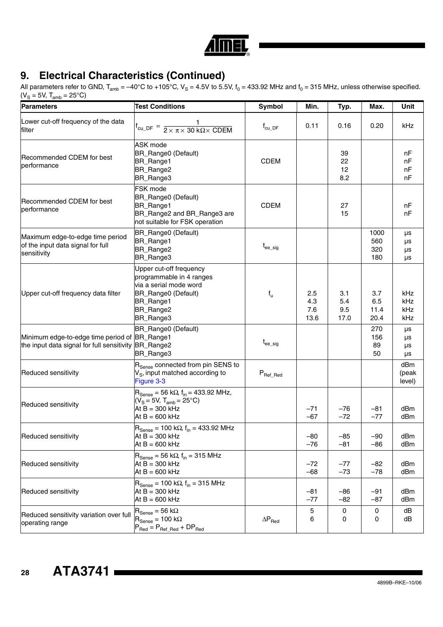

| <b>Parameters</b>                                                                                     | <b>Test Conditions</b>                                                                                                                                          | Symbol                            | Min.                      | Typ.                      | Max.                       | Unit                     |
|-------------------------------------------------------------------------------------------------------|-----------------------------------------------------------------------------------------------------------------------------------------------------------------|-----------------------------------|---------------------------|---------------------------|----------------------------|--------------------------|
| Lower cut-off frequency of the data<br>filter                                                         | $f_{cu\_DF} = \frac{1}{2 \times \pi \times 30 \text{ k}\Omega \times \text{CDEM}}$                                                                              | $\mathsf{f}_{\mathsf{cu\_DF}}$    | 0.11                      | 0.16                      | 0.20                       | kHz                      |
| Recommended CDEM for best<br>performance                                                              | ASK mode<br>BR_Range0 (Default)<br>BR_Range1<br>BR_Range2<br>BR_Range3                                                                                          | <b>CDEM</b>                       |                           | 39<br>22<br>12<br>8.2     |                            | nF<br>nF<br>nF<br>nF     |
| Recommended CDEM for best<br>performance                                                              | <b>FSK</b> mode<br>BR_Range0 (Default)<br>BR_Range1<br>BR_Range2 and BR_Range3 are<br>not suitable for FSK operation                                            | <b>CDEM</b>                       |                           | 27<br>15                  |                            | nF<br>nF                 |
| Maximum edge-to-edge time period<br>of the input data signal for full<br>sensitivity                  | BR_Range0 (Default)<br>BR_Range1<br>BR_Range2<br>BR_Range3                                                                                                      | ${\rm t_{ee\_sig}}$               |                           |                           | 1000<br>560<br>320<br>180  | μs<br>μs<br>μs<br>μs     |
| Upper cut-off frequency data filter                                                                   | Upper cut-off frequency<br>programmable in 4 ranges<br>via a serial mode word<br>BR_Range0 (Default)<br>BR_Range1<br>BR_Range2<br>BR_Range3                     | $f_{u}$                           | 2.5<br>4.3<br>7.6<br>13.6 | 3.1<br>5.4<br>9.5<br>17.0 | 3.7<br>6.5<br>11.4<br>20.4 | kHz<br>kHz<br>kHz<br>kHz |
| Minimum edge-to-edge time period of BR_Range1<br>the input data signal for full sensitivity BR_Range2 | BR_Range0 (Default)<br>BR_Range3                                                                                                                                | $\mathfrak{t}_{\mathrm{ee\_sig}}$ |                           |                           | 270<br>156<br>89<br>50     | μs<br>μs<br>μs<br>μs     |
| Reduced sensitivity                                                                                   | R <sub>Sense</sub> connected from pin SENS to<br>$V_{\rm S}$ , input matched according to<br>Figure 3-3                                                         | $P_{\mathsf{Ref\_Red}}$           |                           |                           |                            | dBm<br>(peak<br>level)   |
| Reduced sensitivity                                                                                   | $R_{\text{Sense}} = 56 \text{ k}\Omega$ , $f_{\text{in}} = 433.92 \text{ MHz}$ ,<br>$(V_S = 5V, T_{amb} = 25^{\circ}C)$<br>$At B = 300 kHz$<br>At $B = 600$ kHz |                                   | $-71$<br>$-67$            | $-76$<br>$-72$            | $-81$<br>$-77$             | dB <sub>m</sub><br>dBm   |
| Reduced sensitivity                                                                                   | $R_{\text{Sense}} = 100 \text{ k}\Omega$ , f <sub>in</sub> = 433.92 MHz<br>At B = 300 kHz<br>At $B = 600$ kHz                                                   |                                   | $-80$<br>$-76$            | $-85$<br>$-81$            | $-90$<br>$-86$             | dBm<br>dBm               |
| Reduced sensitivity                                                                                   | $R_{\text{Sense}}$ = 56 k $\Omega$ , f <sub>in</sub> = 315 MHz<br>At $B = 300$ kHz<br>At $B = 600$ kHz                                                          |                                   | $-72$<br>$-68$            | $-77$<br>$-73$            | $-82$<br>$-78$             | dBm<br>dBm               |
| Reduced sensitivity                                                                                   | $R_{\text{Sense}} = 100 \text{ k}\Omega$ , $f_{\text{in}} = 315 \text{ MHz}$<br>At $B = 300$ kHz<br>At $B = 600$ kHz                                            |                                   | $-81$<br>$-77$            | $-86$<br>$-82$            | $-91$<br>$-87$             | dBm<br>dBm               |
| Reduced sensitivity variation over full<br>operating range                                            | $\text{R}_{\text{Sense}} = 56 \text{ k}\Omega$<br>$R_{\text{Sense}} = 100 \text{ k}\Omega$<br>$P_{Red} = P_{Ref\_Red} + DP_{Red}$                               | $\Delta P_{\text{Red}}$           | 5<br>6                    | 0<br>0                    | 0<br>0                     | dB<br>dB                 |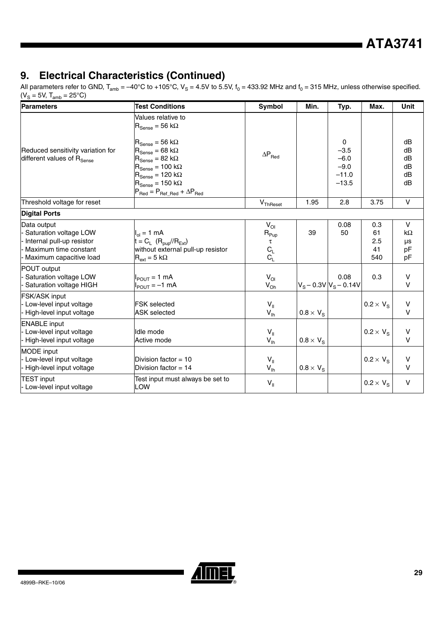| Parameters                                                                                                             | <b>Test Conditions</b>                                                                                                                                                                                                                                                                                                                                                                               | <b>Symbol</b>                                        | Min.                   | Typ.                                                  | Max.                          | Unit                                       |
|------------------------------------------------------------------------------------------------------------------------|------------------------------------------------------------------------------------------------------------------------------------------------------------------------------------------------------------------------------------------------------------------------------------------------------------------------------------------------------------------------------------------------------|------------------------------------------------------|------------------------|-------------------------------------------------------|-------------------------------|--------------------------------------------|
| Reduced sensitivity variation for<br>different values of R <sub>Sense</sub>                                            | Values relative to<br>$R_{\text{Sense}} = 56 \text{ k}\Omega$<br>$R_{\text{Sense}} = 56 \text{ k}\Omega$<br>$R_{\text{Sense}} = 68 \text{ k}\Omega$<br>$R_{\text{Sense}} = 82 \text{ k}\Omega$<br>$R_{\text{Sense}} = 100 \text{ k}\Omega$<br>$R_{\text{Sense}} = 120 \text{ k}\Omega$<br>$R_{\text{Sense}} = 150 \text{ k}\Omega$<br>$P_{\text{Red}} = P_{\text{Ref\_Red}} + \Delta P_{\text{Red}}$ | $\Delta P_{\text{Red}}$                              |                        | 0<br>$-3.5$<br>$-6.0$<br>$-9.0$<br>$-11.0$<br>$-13.5$ |                               | dB<br>dB<br>dB<br>dB<br>dB<br>dB           |
| Threshold voltage for reset                                                                                            |                                                                                                                                                                                                                                                                                                                                                                                                      | $V_{\text{ThRes}et}$                                 | 1.95                   | 2.8                                                   | 3.75                          | $\vee$                                     |
| <b>Digital Ports</b>                                                                                                   |                                                                                                                                                                                                                                                                                                                                                                                                      |                                                      |                        |                                                       |                               |                                            |
| Data output<br>Saturation voltage LOW<br>Internal pull-up resistor<br>Maximum time constant<br>Maximum capacitive load | $I_{ol} = 1$ mA<br>$t = C_L$ ( $R_{\text{pub}}/R_{\text{Ext}}$ )<br>without external pull-up resistor<br>$R_{ext} = 5 k\Omega$                                                                                                                                                                                                                                                                       | $V_{OI}$<br>$R_{Pup}$<br>τ<br>$C_{L}$<br>$C_{L}^{-}$ | 39                     | 0.08<br>50                                            | 0.3<br>61<br>2.5<br>41<br>540 | $\vee$<br>$k\Omega$<br>$\mu s$<br>pF<br>pF |
| POUT output<br>Saturation voltage LOW<br>Saturation voltage HIGH                                                       | $I_{POLIT} = 1$ mA<br>$I_{POUT} = -1$ mA                                                                                                                                                                                                                                                                                                                                                             | $V_{OI}$<br>$V_{Oh}$                                 |                        | 0.08<br>$V_S - 0.3V$ $V_S - 0.14V$                    | 0.3                           | $\vee$<br>$\vee$                           |
| <b>FSK/ASK input</b><br>Low-level input voltage<br>High-level input voltage                                            | <b>FSK</b> selected<br><b>ASK</b> selected                                                                                                                                                                                                                                                                                                                                                           | $V_{\parallel}$<br>$V_{\text{lh}}$                   | $0.8 \times V_{\rm S}$ |                                                       | $0.2 \times V_{\rm S}$        | $\sf V$<br>$\vee$                          |
| <b>ENABLE</b> input<br>Low-level input voltage<br>High-level input voltage                                             | Idle mode<br>Active mode                                                                                                                                                                                                                                                                                                                                                                             | $V_{\parallel}$<br>$V_{\text{lh}}$                   | $0.8 \times V_s$       |                                                       | $0.2 \times V_{\rm S}$        | V<br>$\vee$                                |
| MODE input<br>Low-level input voltage<br>High-level input voltage                                                      | Division factor = 10<br>Division factor = $14$                                                                                                                                                                                                                                                                                                                                                       | $V_{\parallel}$<br>$V_{\text{lh}}$                   | $0.8 \times V_{\rm S}$ |                                                       | $0.2 \times V_{\rm S}$        | V<br>$\vee$                                |
| TEST input<br>Low-level input voltage                                                                                  | Test input must always be set to<br>LOW                                                                                                                                                                                                                                                                                                                                                              | $V_{\parallel}$                                      |                        |                                                       | $0.2 \times V_{\rm S}$        | $\vee$                                     |

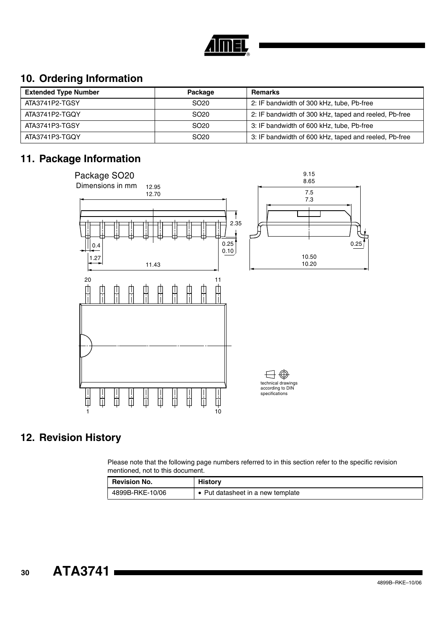

### **10. Ordering Information**

| <b>Extended Type Number</b> | Package          | <b>Remarks</b>                                        |
|-----------------------------|------------------|-------------------------------------------------------|
| ATA3741P2-TGSY              | SO <sub>20</sub> | 2: IF bandwidth of 300 kHz, tube, Pb-free             |
| ATA3741P2-TGOY              | SO <sub>20</sub> | 2: IF bandwidth of 300 kHz, taped and reeled, Pb-free |
| ATA3741P3-TGSY              | SO <sub>20</sub> | 3: IF bandwidth of 600 kHz, tube, Pb-free             |
| ATA3741P3-TGOY              | SO <sub>20</sub> | 3: IF bandwidth of 600 kHz, taped and reeled, Pb-free |

### **11. Package Information**



### **12. Revision History**

Please note that the following page numbers referred to in this section refer to the specific revision mentioned, not to this document.

| <b>Revision No.</b> | History                           |
|---------------------|-----------------------------------|
| 4899B-RKE-10/06     | • Put datasheet in a new template |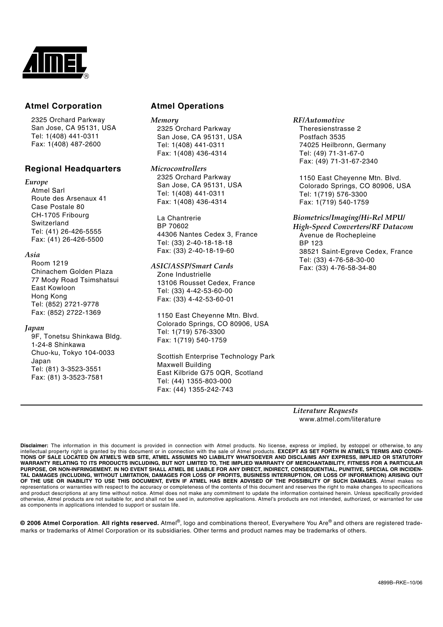

#### **Atmel Corporation Atmel Operations**

2325 Orchard Parkway San Jose, CA 95131, USA Tel: 1(408) 441-0311 Fax: 1(408) 487-2600

#### **Regional Headquarters**

#### *Europe*

Atmel Sarl Route des Arsenaux 41 Case Postale 80 CH-1705 Fribourg Switzerland Tel: (41) 26-426-5555 Fax: (41) 26-426-5500

#### *Asia*

Room 1219 Chinachem Golden Plaza 77 Mody Road Tsimshatsui East Kowloon Hong Kong Tel: (852) 2721-9778 Fax: (852) 2722-1369

#### *Japan*

9F, Tonetsu Shinkawa Bldg. 1-24-8 Shinkawa Chuo-ku, Tokyo 104-0033 Japan Tel: (81) 3-3523-3551 Fax: (81) 3-3523-7581

*Memory* 2325 Orchard Parkway San Jose, CA 95131, USA Tel: 1(408) 441-0311 Fax: 1(408) 436-4314

#### *Microcontrollers*

2325 Orchard Parkway San Jose, CA 95131, USA Tel: 1(408) 441-0311 Fax: 1(408) 436-4314

La Chantrerie BP 70602 44306 Nantes Cedex 3, France Tel: (33) 2-40-18-18-18 Fax: (33) 2-40-18-19-60

#### *ASIC/ASSP/Smart Cards*

Zone Industrielle 13106 Rousset Cedex, France Tel: (33) 4-42-53-60-00 Fax: (33) 4-42-53-60-01

1150 East Cheyenne Mtn. Blvd. Colorado Springs, CO 80906, USA Tel: 1(719) 576-3300 Fax: 1(719) 540-1759

Scottish Enterprise Technology Park Maxwell Building East Kilbride G75 0QR, Scotland Tel: (44) 1355-803-000 Fax: (44) 1355-242-743

*RF/Automotive*

Theresienstrasse 2 Postfach 3535 74025 Heilbronn, Germany Tel: (49) 71-31-67-0 Fax: (49) 71-31-67-2340

1150 East Cheyenne Mtn. Blvd. Colorado Springs, CO 80906, USA Tel: 1(719) 576-3300 Fax: 1(719) 540-1759

*Biometrics/Imaging/Hi-Rel MPU/ High-Speed Converters/RF Datacom* Avenue de Rochepleine BP 123 38521 Saint-Egreve Cedex, France Tel: (33) 4-76-58-30-00 Fax: (33) 4-76-58-34-80

*Literature Requests* www.atmel.com/literature

**Disclaimer:** The information in this document is provided in connection with Atmel products. No license, express or implied, by estoppel or otherwise, to any intellectual property right is granted by this document or in connection with the sale of Atmel products. **EXCEPT AS SET FORTH IN ATMEL'S TERMS AND CONDI-TIONS OF SALE LOCATED ON ATMEL'S WEB SITE, ATMEL ASSUMES NO LIABILITY WHATSOEVER AND DISCLAIMS ANY EXPRESS, IMPLIED OR STATUTORY** WARRANTY RELATING TO ITS PRODUCTS INCLUDING, BUT NOT LIMITED TO, THE IMPLIED WARRANTY OF MERCHANTABILITY, FITNESS FOR A PARTICULAR<br>PURPOSE, OR NON-INFRINGEMENT. IN NO EVENT SHALL ATMEL BE LIABLE FOR ANY DIRECT, INDIRECT, C TAL DAMAGES (INCLUDING, WITHOUT LIMITATION, DAMAGES FOR LOSS OF PROFITS, BUSINESS INTERRUPTION, OR LOSS OF INFORMATION) ARISING OUT<br>OF THE USE OR INABILITY TO USE THIS DOCUMENT, EVEN IF ATMEL HAS BEEN ADVISED OF THE POSSIB and product descriptions at any time without notice. Atmel does not make any commitment to update the information contained herein. Unless specifically provided otherwise, Atmel products are not suitable for, and shall not be used in, automotive applications. Atmel's products are not intended, authorized, or warranted for use as components in applications intended to support or sustain life.

**© 2006 Atmel Corporation**. **All rights reserved.** Atmel®, logo and combinations thereof, Everywhere You Are® and others are registered trademarks or trademarks of Atmel Corporation or its subsidiaries. Other terms and product names may be trademarks of others.